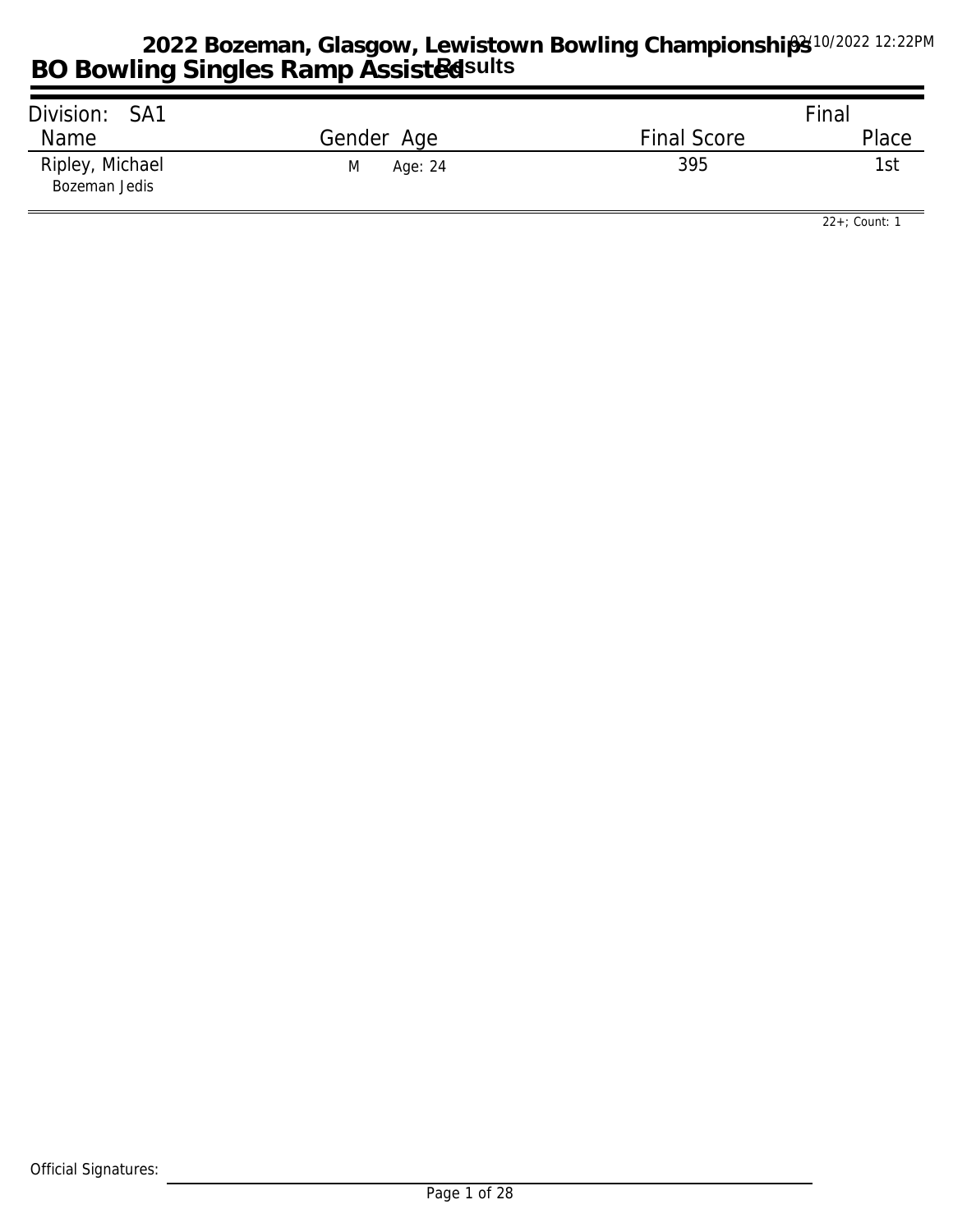| Division: SA1                    |              |                    | Final |
|----------------------------------|--------------|--------------------|-------|
| Name                             | Gender Age   | <b>Final Score</b> | Place |
| Ripley, Michael<br>Bozeman Jedis | M<br>Age: 24 | 395                | 1st   |

*22+; Count: 1*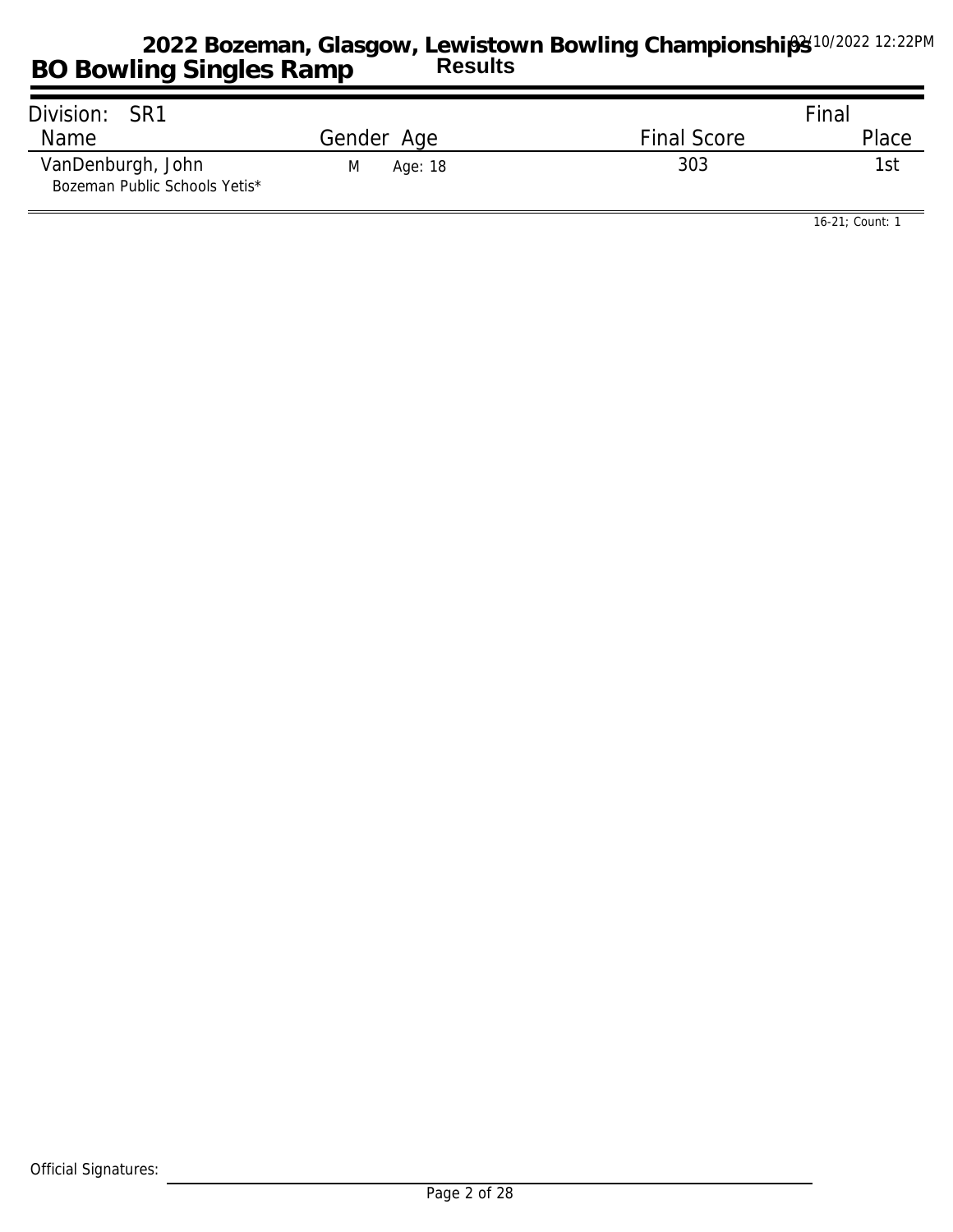| Division: SR1                                      |              |                    | Final |
|----------------------------------------------------|--------------|--------------------|-------|
| Name                                               | Gender Age   | <b>Final Score</b> | Place |
| VanDenburgh, John<br>Bozeman Public Schools Yetis* | Age: 18<br>M | 303                | 1stl  |

*16-21; Count: 1*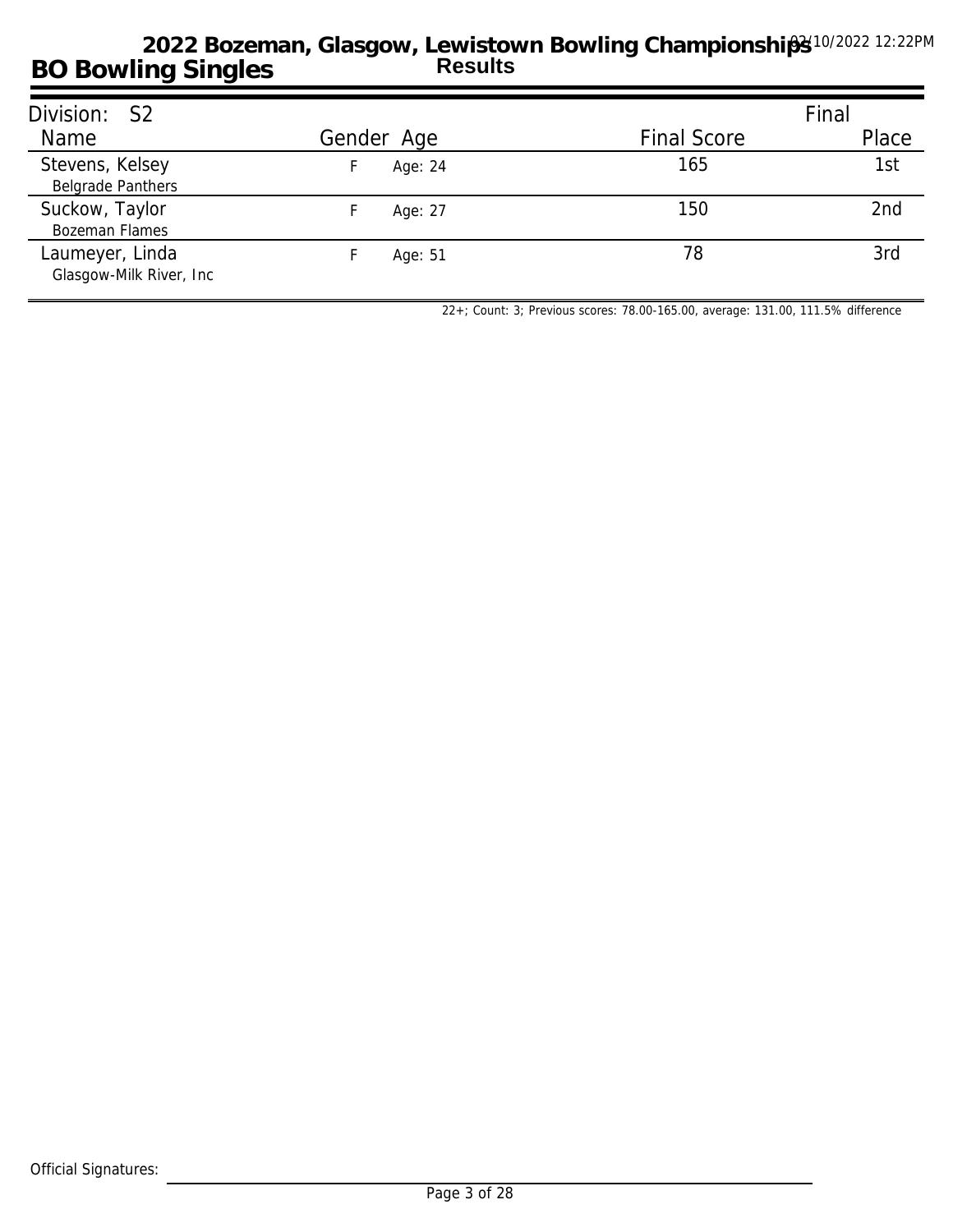| Division: S2                                |            |                    | Final |
|---------------------------------------------|------------|--------------------|-------|
| Name                                        | Gender Age | <b>Final Score</b> | Place |
| Stevens, Kelsey<br><b>Belgrade Panthers</b> | Age: 24    | 165                | 1st   |
| Suckow, Taylor<br><b>Bozeman Flames</b>     | Age: 27    | 150                | 2nd   |
| Laumeyer, Linda<br>Glasgow-Milk River, Inc. | Age: 51    | 78                 | 3rd   |

*22+; Count: 3; Previous scores: 78.00-165.00, average: 131.00, 111.5% difference*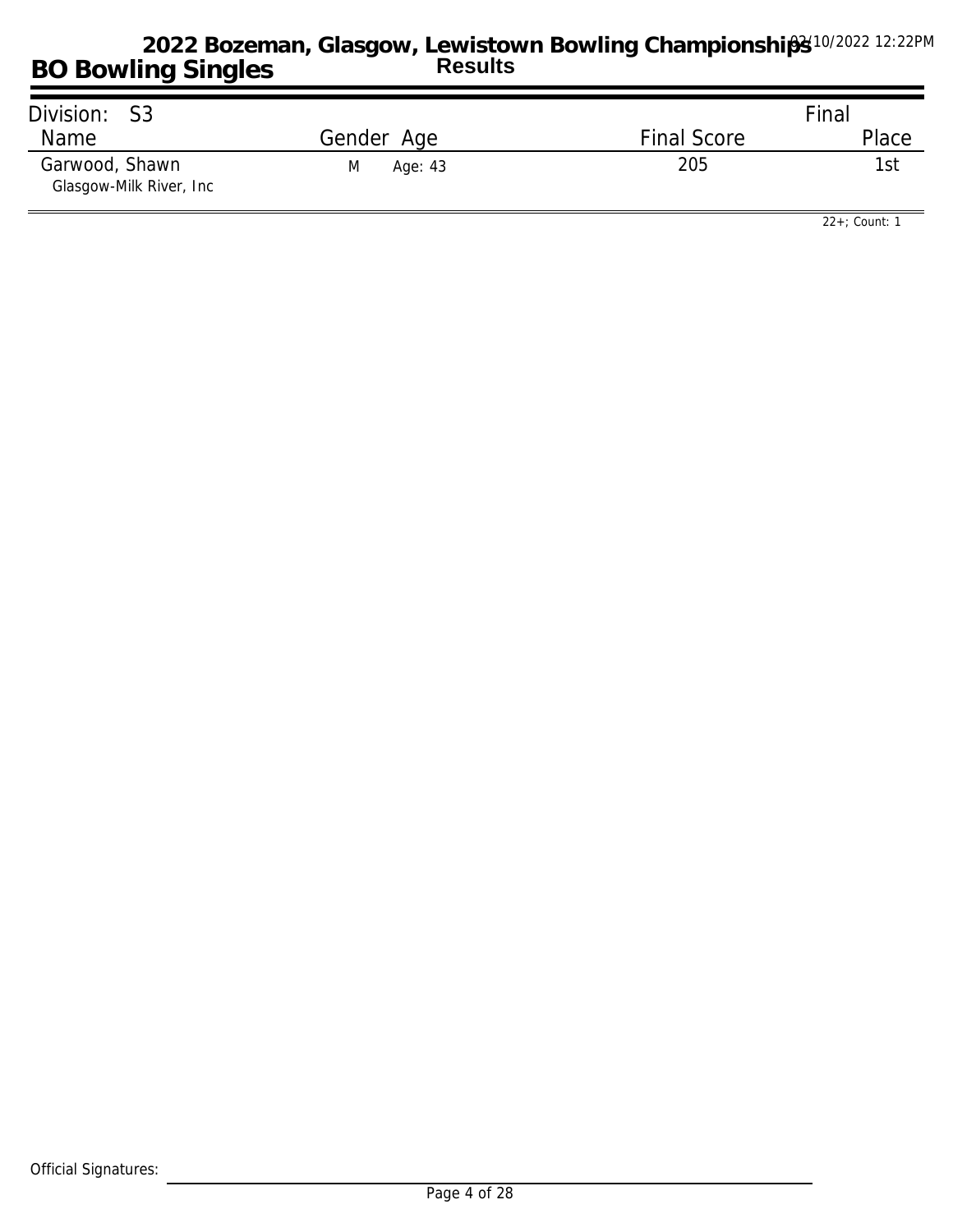| Division: S3                               |              |                    | Final |
|--------------------------------------------|--------------|--------------------|-------|
| Name                                       | Gender Age   | <b>Final Score</b> | Place |
| Garwood, Shawn<br>Glasgow-Milk River, Inc. | M<br>Age: 43 | 205                | 1st   |

*22+; Count: 1*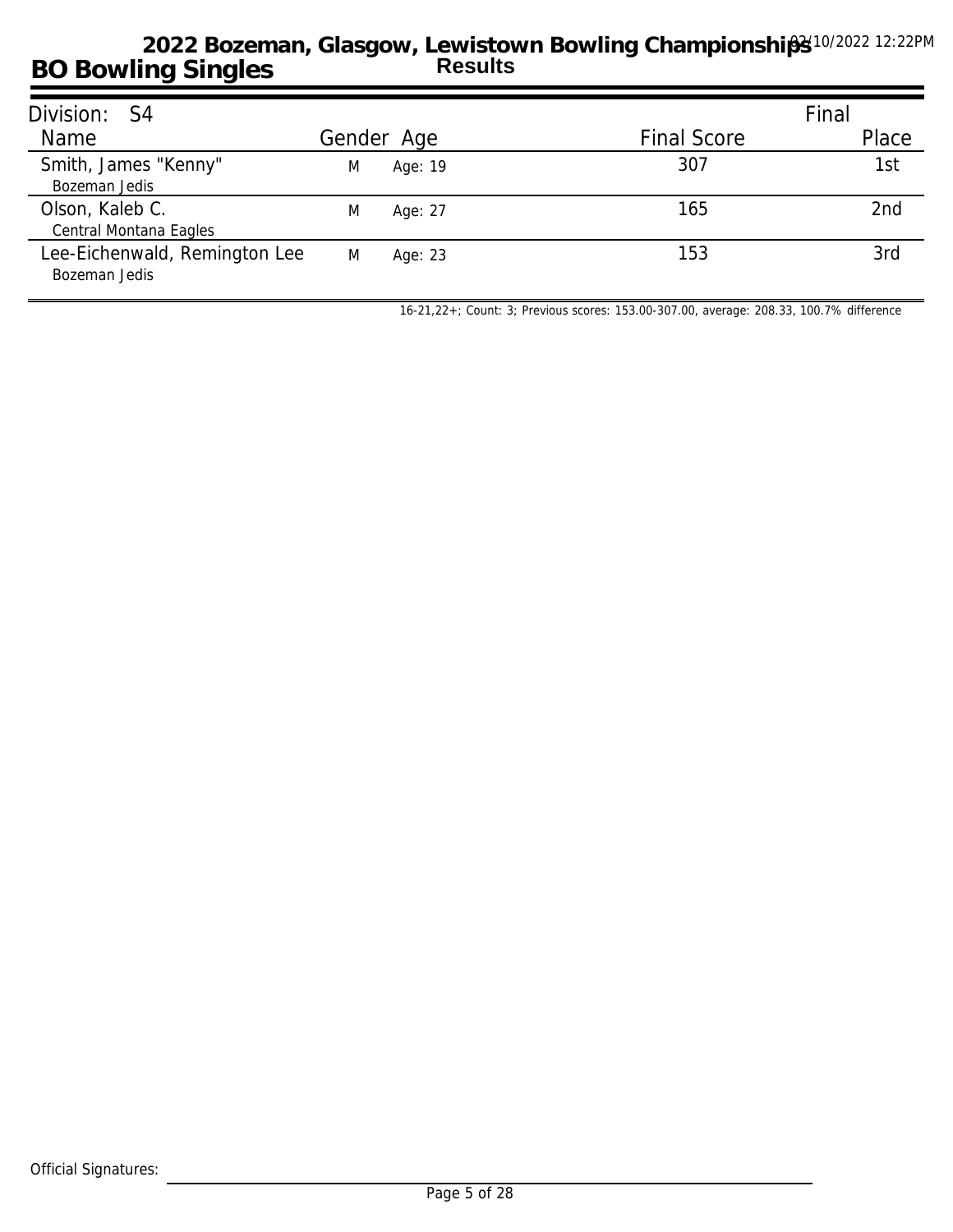| Division: S4                                   |   |            |                    | Final           |
|------------------------------------------------|---|------------|--------------------|-----------------|
| Name                                           |   | Gender Age | <b>Final Score</b> | Place           |
| Smith, James "Kenny"<br>Bozeman Jedis          | M | Age: 19    | 307                | 1st             |
| Olson, Kaleb C.<br>Central Montana Eagles      | M | Age: 27    | 165                | 2 <sub>nd</sub> |
| Lee-Eichenwald, Remington Lee<br>Bozeman Jedis | M | Age: 23    | 153                | 3rd             |

*16-21,22+; Count: 3; Previous scores: 153.00-307.00, average: 208.33, 100.7% difference*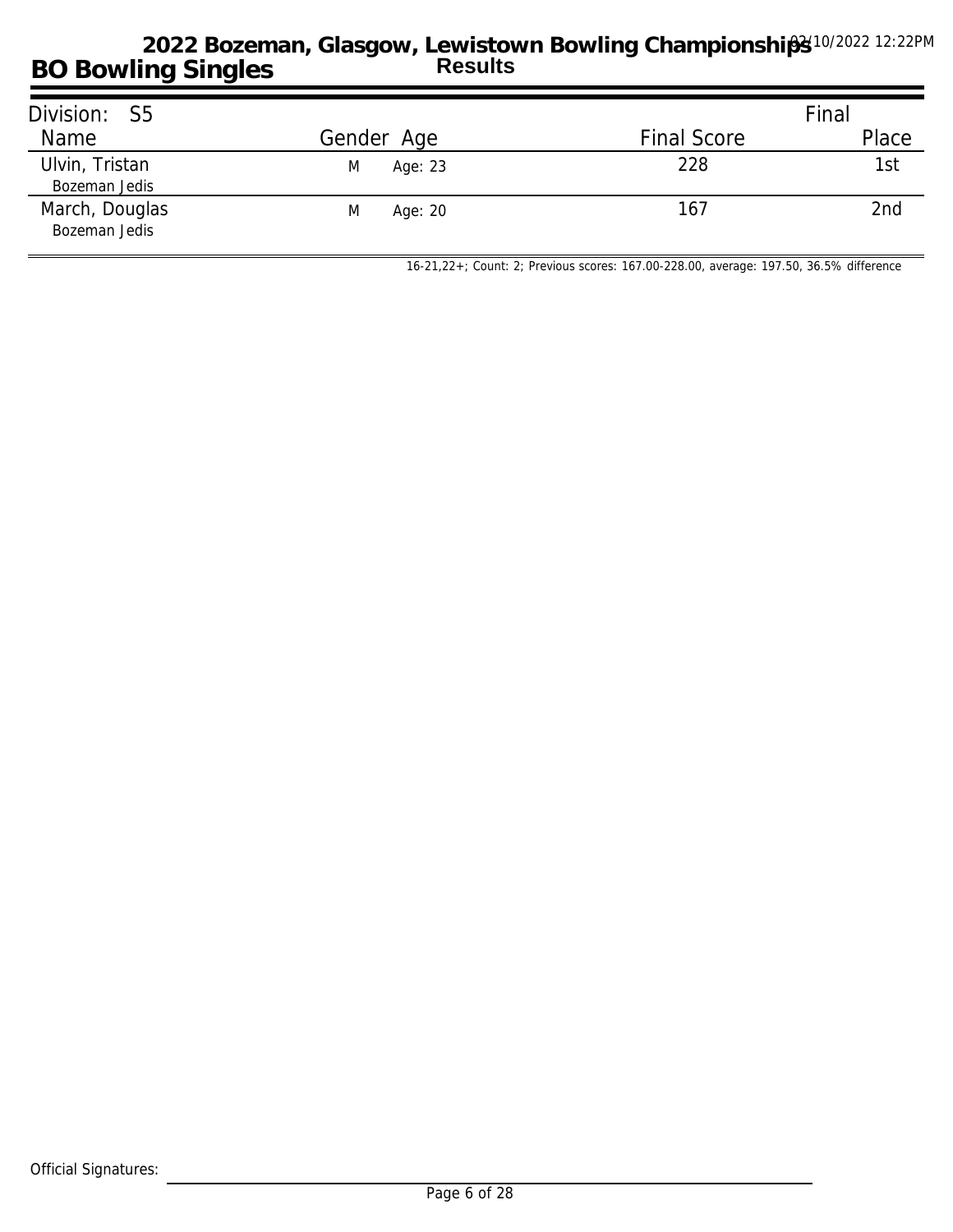| Division: S5                    |              |                    | Final |
|---------------------------------|--------------|--------------------|-------|
| Name                            | Gender Age   | <b>Final Score</b> | Place |
| Ulvin, Tristan<br>Bozeman Jedis | M<br>Age: 23 | 228                | 1st   |
| March, Douglas<br>Bozeman Jedis | M<br>Age: 20 | 167                | 2nd   |

*16-21,22+; Count: 2; Previous scores: 167.00-228.00, average: 197.50, 36.5% difference*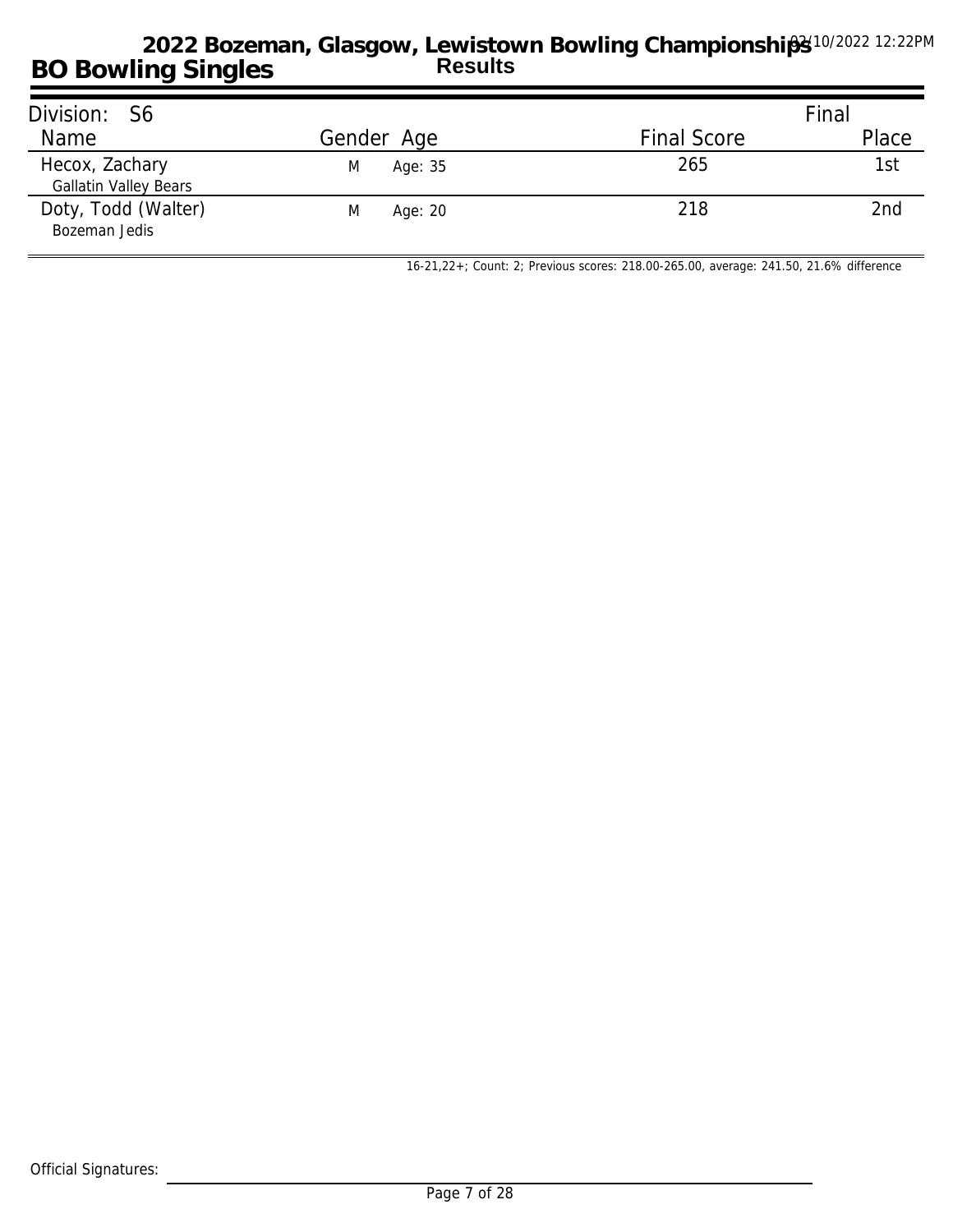| Division: S6                                   |              |                    | Final |
|------------------------------------------------|--------------|--------------------|-------|
| Name                                           | Gender Age   | <b>Final Score</b> | Place |
| Hecox, Zachary<br><b>Gallatin Valley Bears</b> | Age: 35<br>M | 265                | 1st   |
| Doty, Todd (Walter)<br>Bozeman Jedis           | M<br>Age: 20 | 218                | 2nd   |

*16-21,22+; Count: 2; Previous scores: 218.00-265.00, average: 241.50, 21.6% difference*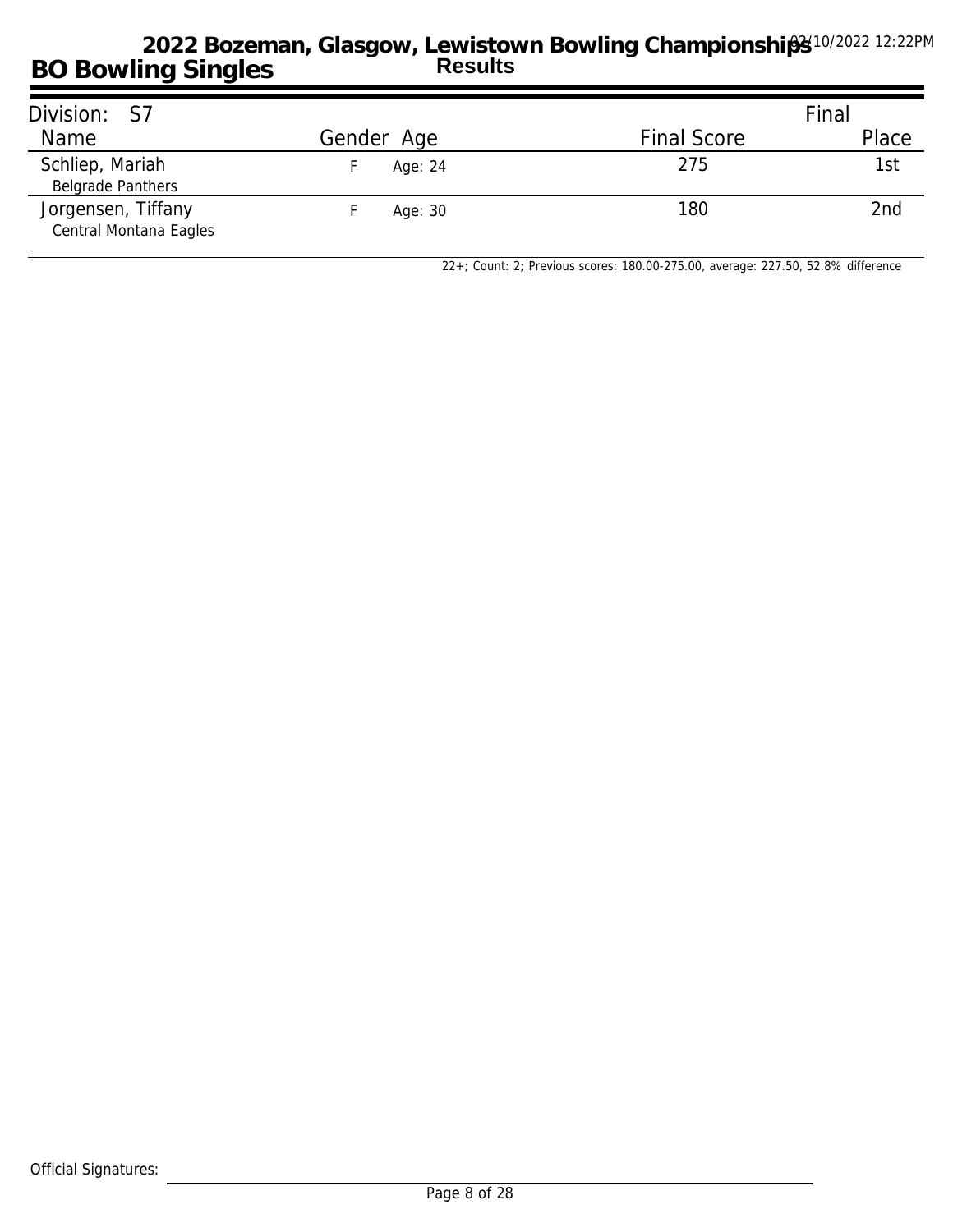| Division: S7                                 |            |                    | Final |
|----------------------------------------------|------------|--------------------|-------|
| Name                                         | Gender Age | <b>Final Score</b> | Place |
| Schliep, Mariah<br><b>Belgrade Panthers</b>  | Age: 24    | 275                | 1st   |
| Jorgensen, Tiffany<br>Central Montana Eagles | Age: 30    | 180                | 2nd   |

*22+; Count: 2; Previous scores: 180.00-275.00, average: 227.50, 52.8% difference*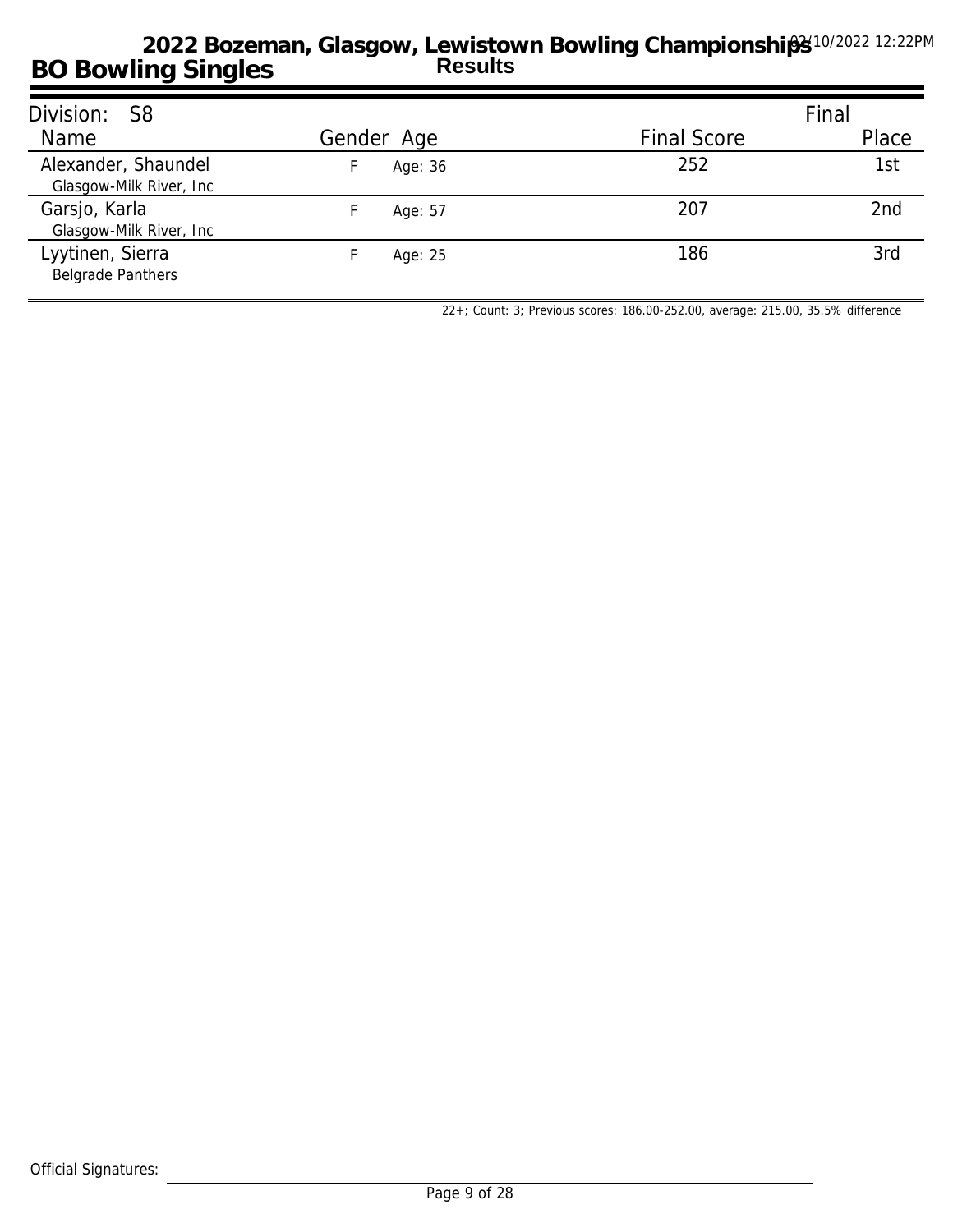| Division: S8                                    |            |                    | Final |
|-------------------------------------------------|------------|--------------------|-------|
| Name                                            | Gender Age | <b>Final Score</b> | Place |
| Alexander, Shaundel<br>Glasgow-Milk River, Inc. | Age: 36    | 252                | 1st   |
| Garsjo, Karla<br>Glasgow-Milk River, Inc        | Age: 57    | 207                | 2nd   |
| Lyytinen, Sierra<br><b>Belgrade Panthers</b>    | Age: 25    | 186                | 3rd   |

*22+; Count: 3; Previous scores: 186.00-252.00, average: 215.00, 35.5% difference*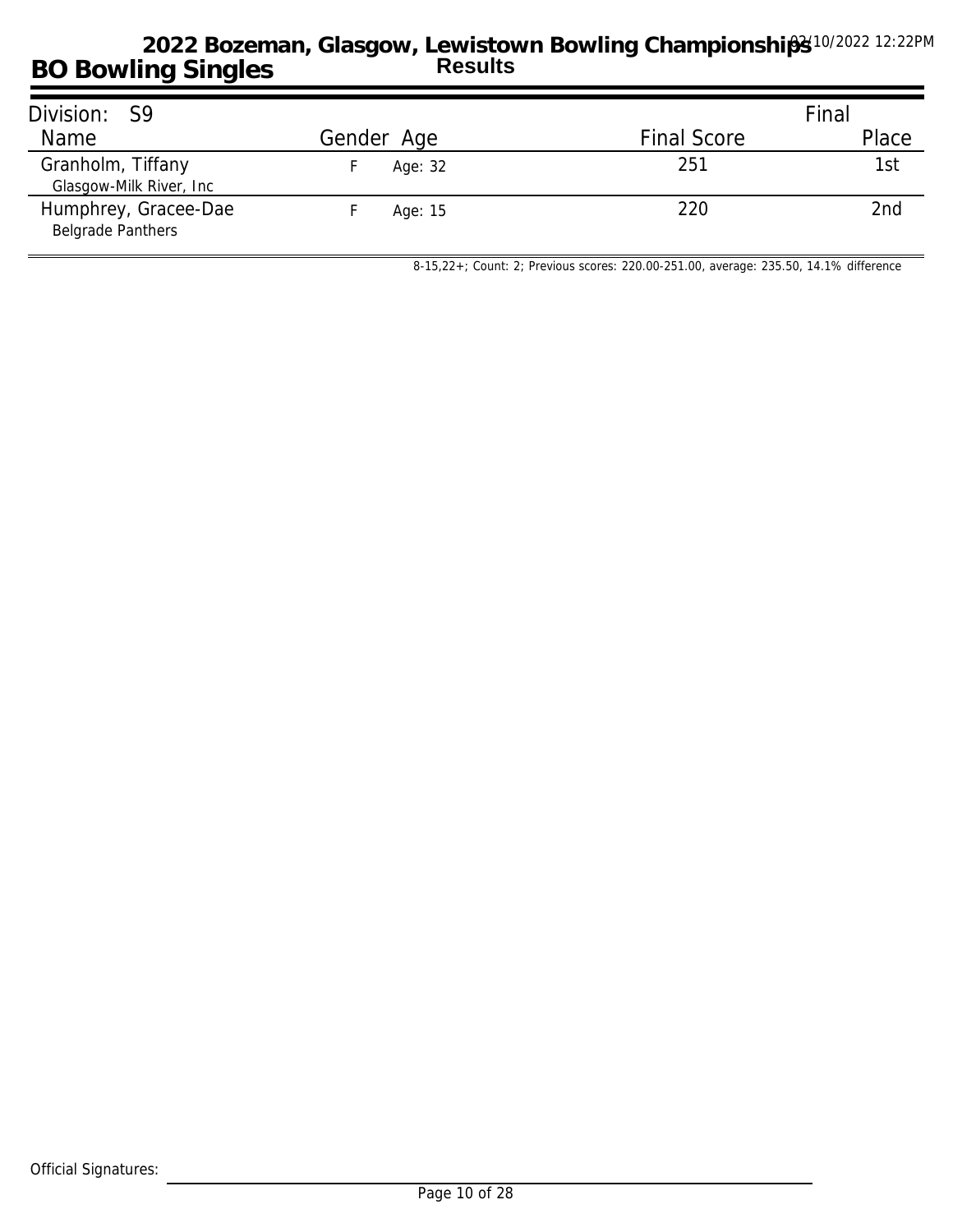| Division: S9                                     |            |                    | Final |
|--------------------------------------------------|------------|--------------------|-------|
| Name                                             | Gender Age | <b>Final Score</b> | Place |
| Granholm, Tiffany<br>Glasgow-Milk River, Inc.    | Age: 32    | 251                | 1st   |
| Humphrey, Gracee-Dae<br><b>Belgrade Panthers</b> | Age: 15    | 220                | 2nd   |

*8-15,22+; Count: 2; Previous scores: 220.00-251.00, average: 235.50, 14.1% difference*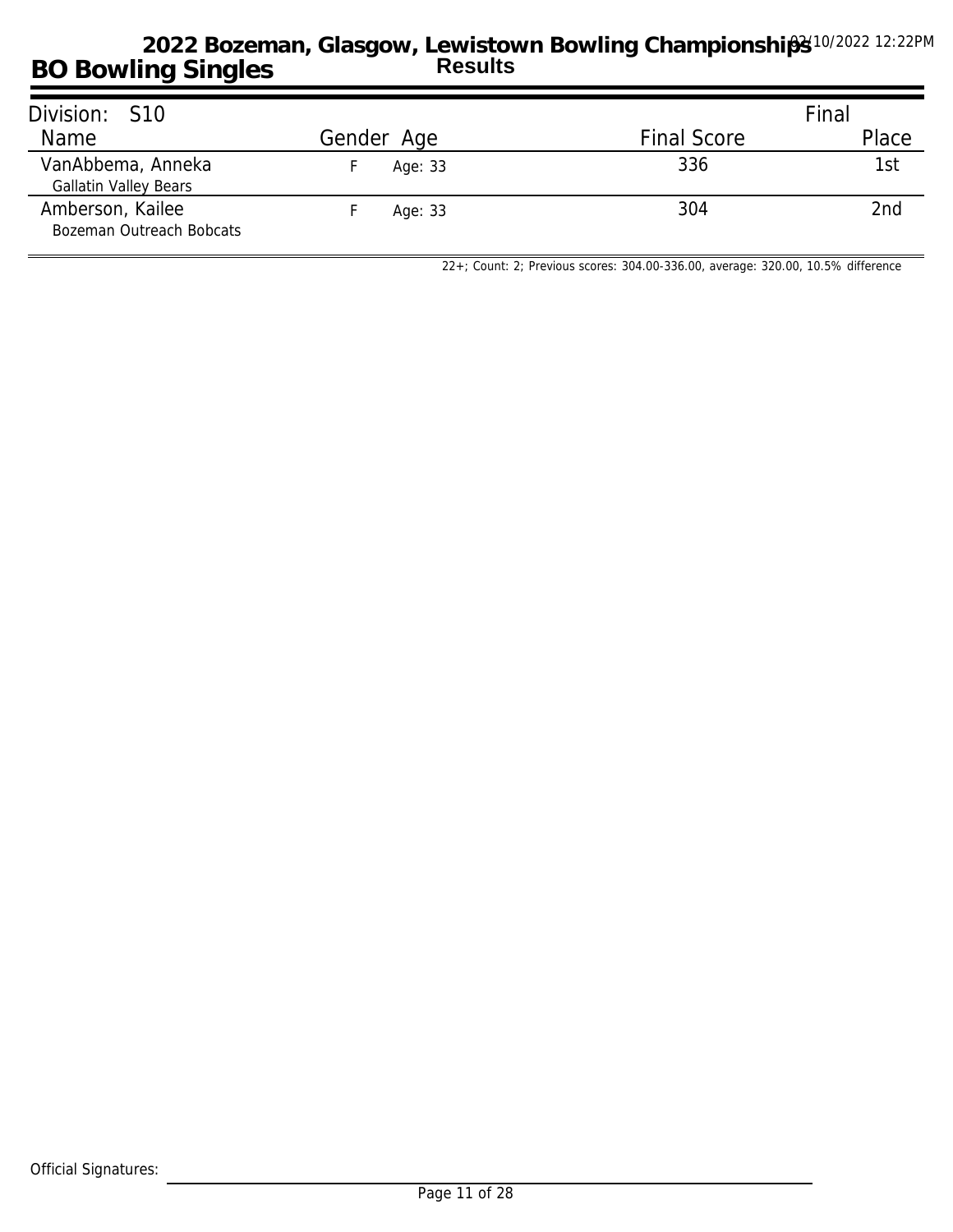| Division: S10                                     |            |                    | Final |
|---------------------------------------------------|------------|--------------------|-------|
| Name                                              | Gender Age | <b>Final Score</b> | Place |
| VanAbbema, Anneka<br><b>Gallatin Valley Bears</b> | Age: 33    | 336                | 1st   |
| Amberson, Kailee<br>Bozeman Outreach Bobcats      | Age: 33    | 304                | 2nd   |

*22+; Count: 2; Previous scores: 304.00-336.00, average: 320.00, 10.5% difference*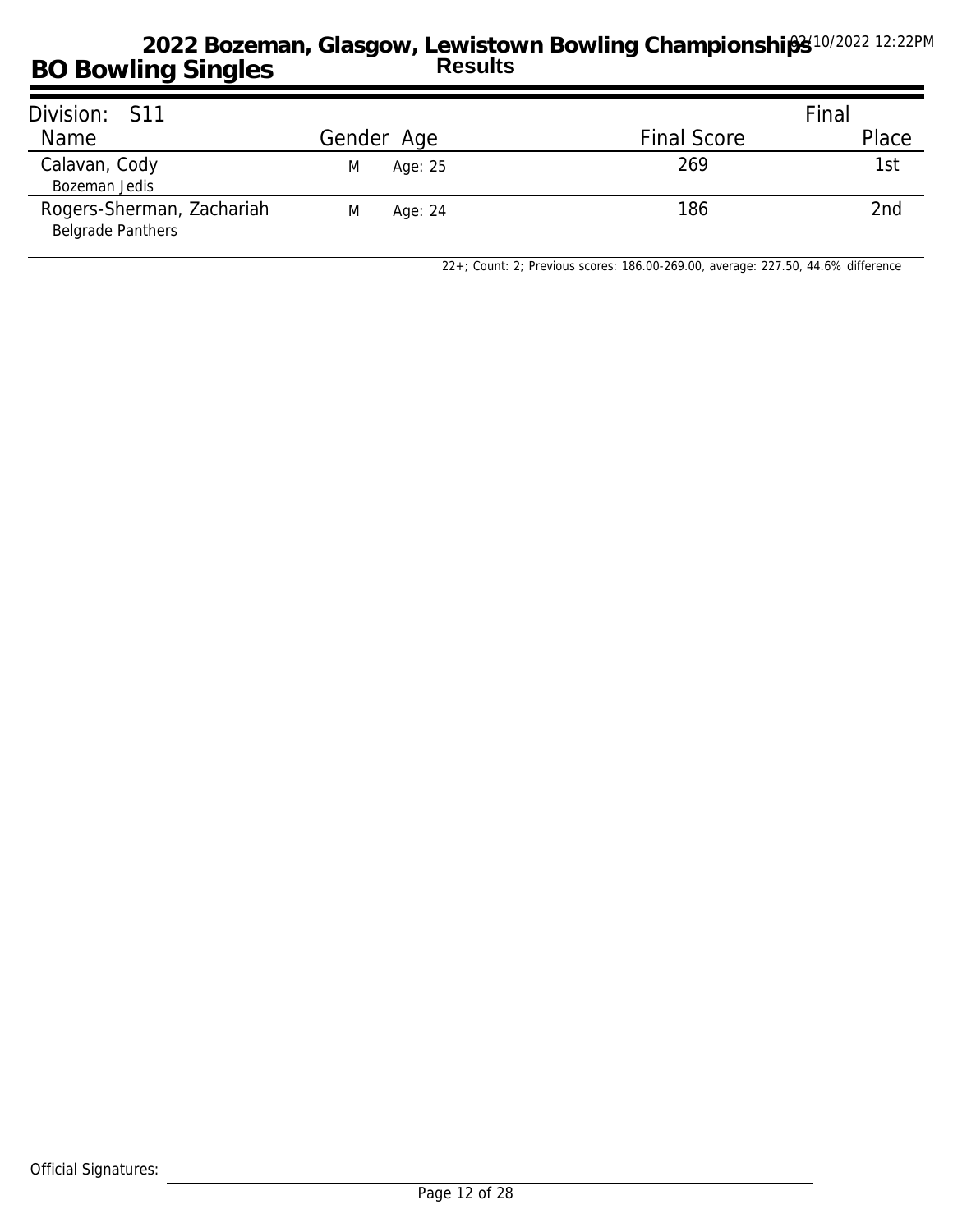| Division: S11                                         |              |                    | Final |
|-------------------------------------------------------|--------------|--------------------|-------|
| <b>Name</b>                                           | Gender Age   | <b>Final Score</b> | Place |
| Calavan, Cody<br>Bozeman Jedis                        | Age: 25<br>M | 269                | 1st   |
| Rogers-Sherman, Zachariah<br><b>Belgrade Panthers</b> | M<br>Age: 24 | 186                | 2nd   |

*22+; Count: 2; Previous scores: 186.00-269.00, average: 227.50, 44.6% difference*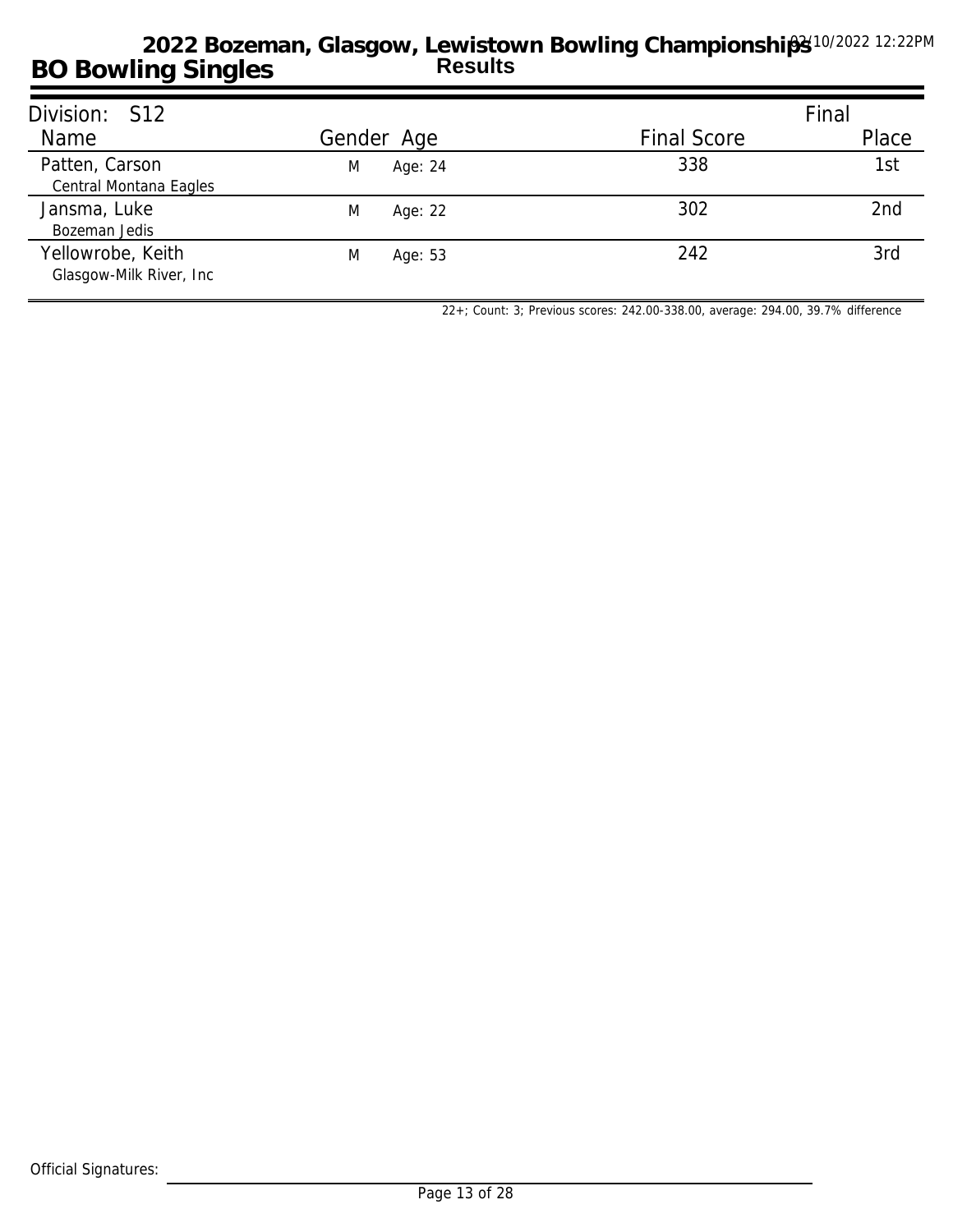| Division: S12                                 |              |                    | Final |
|-----------------------------------------------|--------------|--------------------|-------|
| Name                                          | Gender Age   | <b>Final Score</b> | Place |
| Patten, Carson<br>Central Montana Eagles      | Age: 24<br>M | 338                | 1st   |
| Jansma, Luke<br>Bozeman Jedis                 | M<br>Age: 22 | 302                | 2nd   |
| Yellowrobe, Keith<br>Glasgow-Milk River, Inc. | M<br>Age: 53 | 242                | 3rd   |

*22+; Count: 3; Previous scores: 242.00-338.00, average: 294.00, 39.7% difference*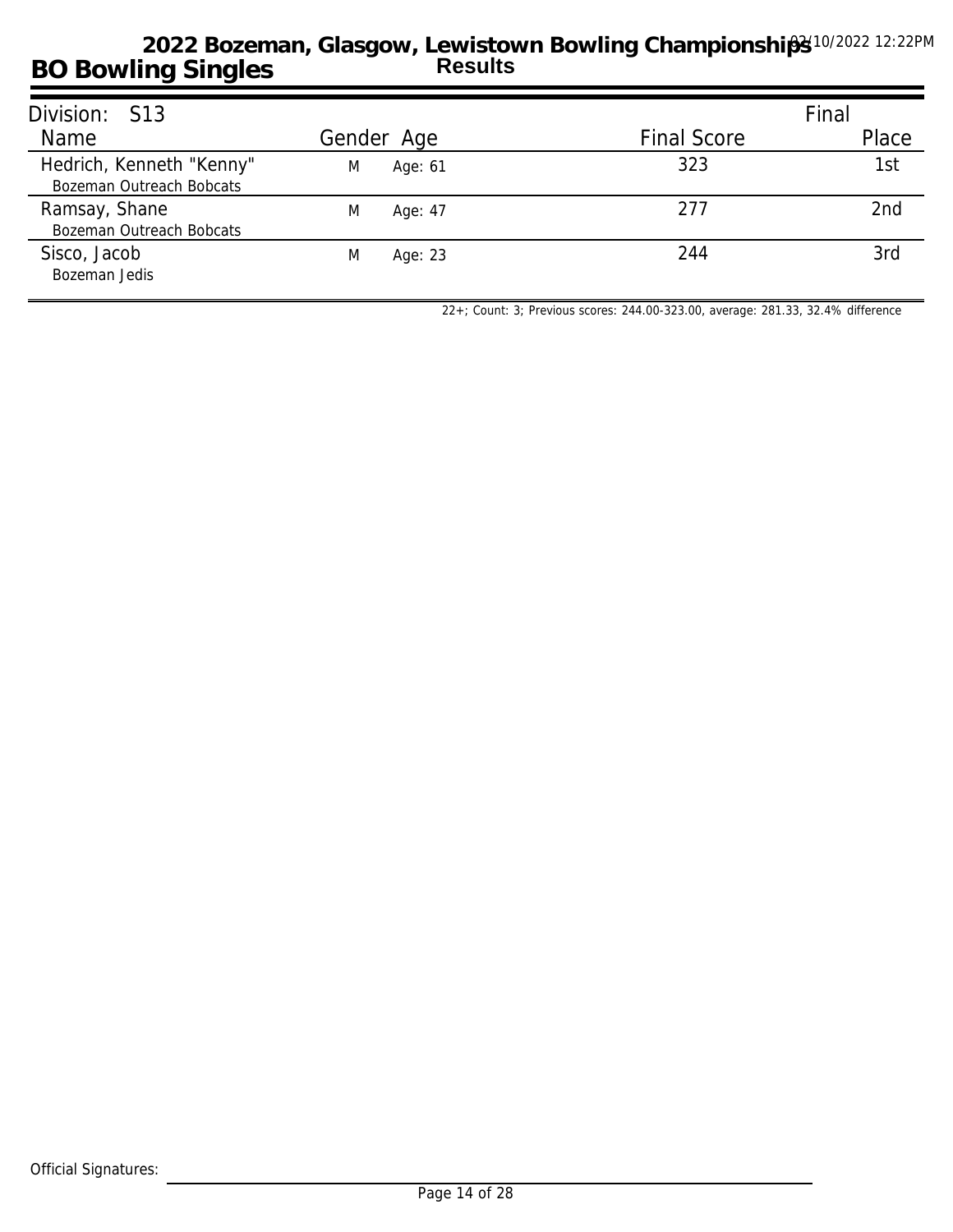| Division: S13                                        |              |                    | Final           |
|------------------------------------------------------|--------------|--------------------|-----------------|
| Name                                                 | Gender Age   | <b>Final Score</b> | Place           |
| Hedrich, Kenneth "Kenny"<br>Bozeman Outreach Bobcats | M<br>Age: 61 | 323                | 1st             |
| Ramsay, Shane<br>Bozeman Outreach Bobcats            | M<br>Age: 47 | 277                | 2 <sub>nd</sub> |
| Sisco, Jacob<br>Bozeman Jedis                        | M<br>Age: 23 | 244                | 3rd             |

*22+; Count: 3; Previous scores: 244.00-323.00, average: 281.33, 32.4% difference*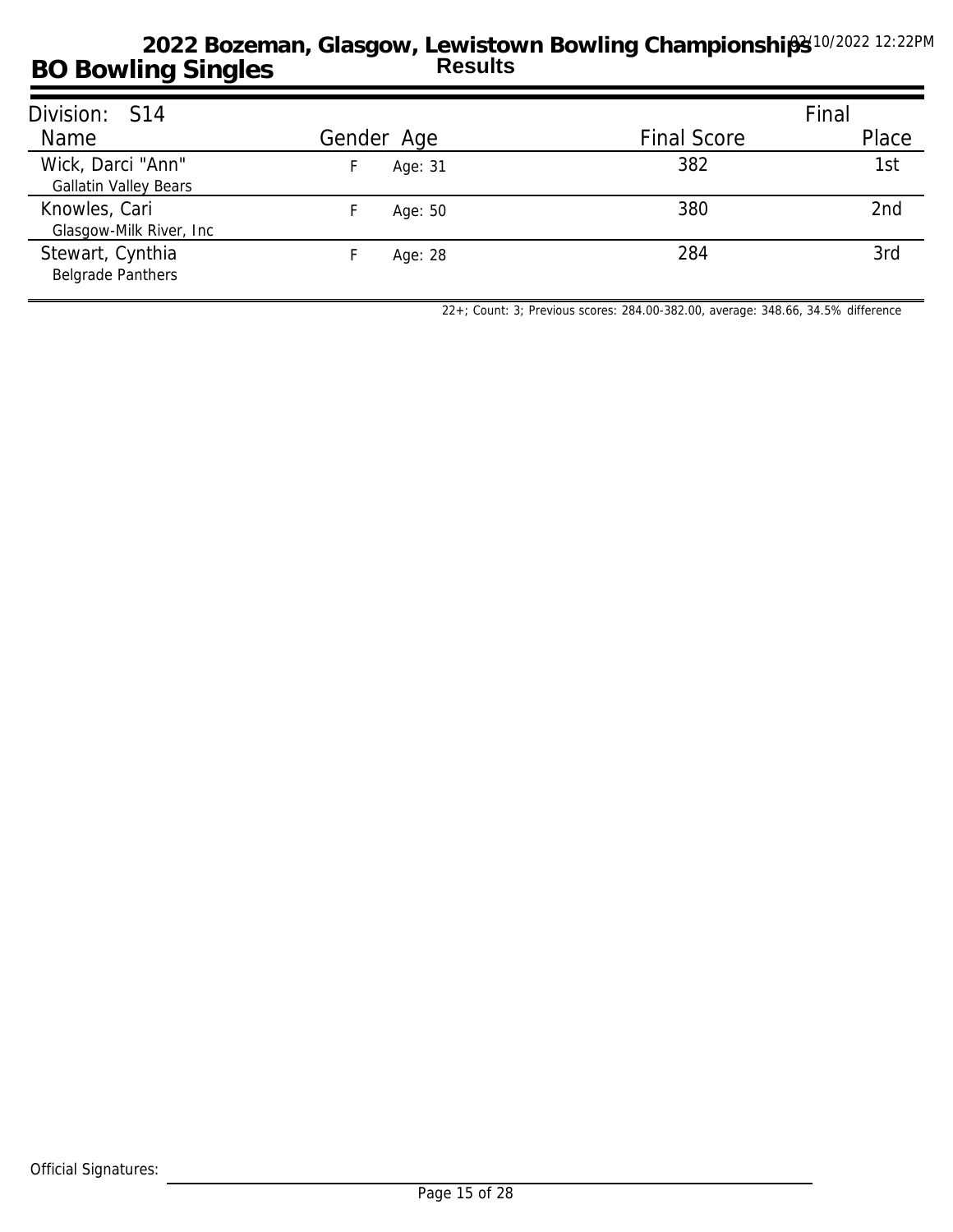| Division: S14                                     |            |                    | Final |
|---------------------------------------------------|------------|--------------------|-------|
| Name                                              | Gender Age | <b>Final Score</b> | Place |
| Wick, Darci "Ann"<br><b>Gallatin Valley Bears</b> | Age: 31    | 382                | 1st   |
| Knowles, Cari<br>Glasgow-Milk River, Inc.         | Age: 50    | 380                | 2nd   |
| Stewart, Cynthia<br><b>Belgrade Panthers</b>      | Age: 28    | 284                | 3rd   |

*22+; Count: 3; Previous scores: 284.00-382.00, average: 348.66, 34.5% difference*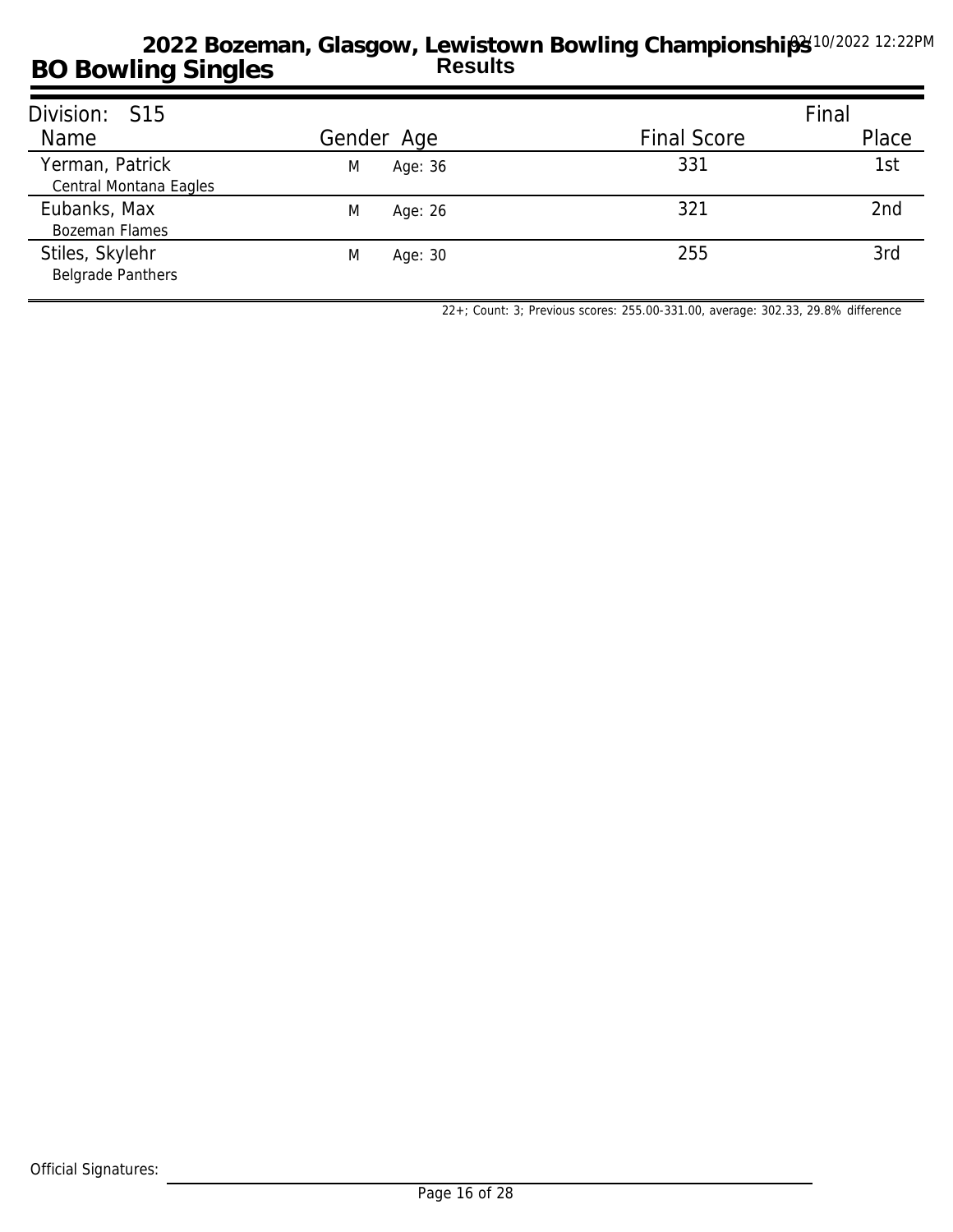| Division: S15                               |              |                    | Final |
|---------------------------------------------|--------------|--------------------|-------|
| Name                                        | Gender Age   | <b>Final Score</b> | Place |
| Yerman, Patrick<br>Central Montana Eagles   | Age: 36<br>M | 331                | 1st   |
| Eubanks, Max<br><b>Bozeman Flames</b>       | M<br>Age: 26 | 321                | 2nd   |
| Stiles, Skylehr<br><b>Belgrade Panthers</b> | M<br>Age: 30 | 255                | 3rd   |

*22+; Count: 3; Previous scores: 255.00-331.00, average: 302.33, 29.8% difference*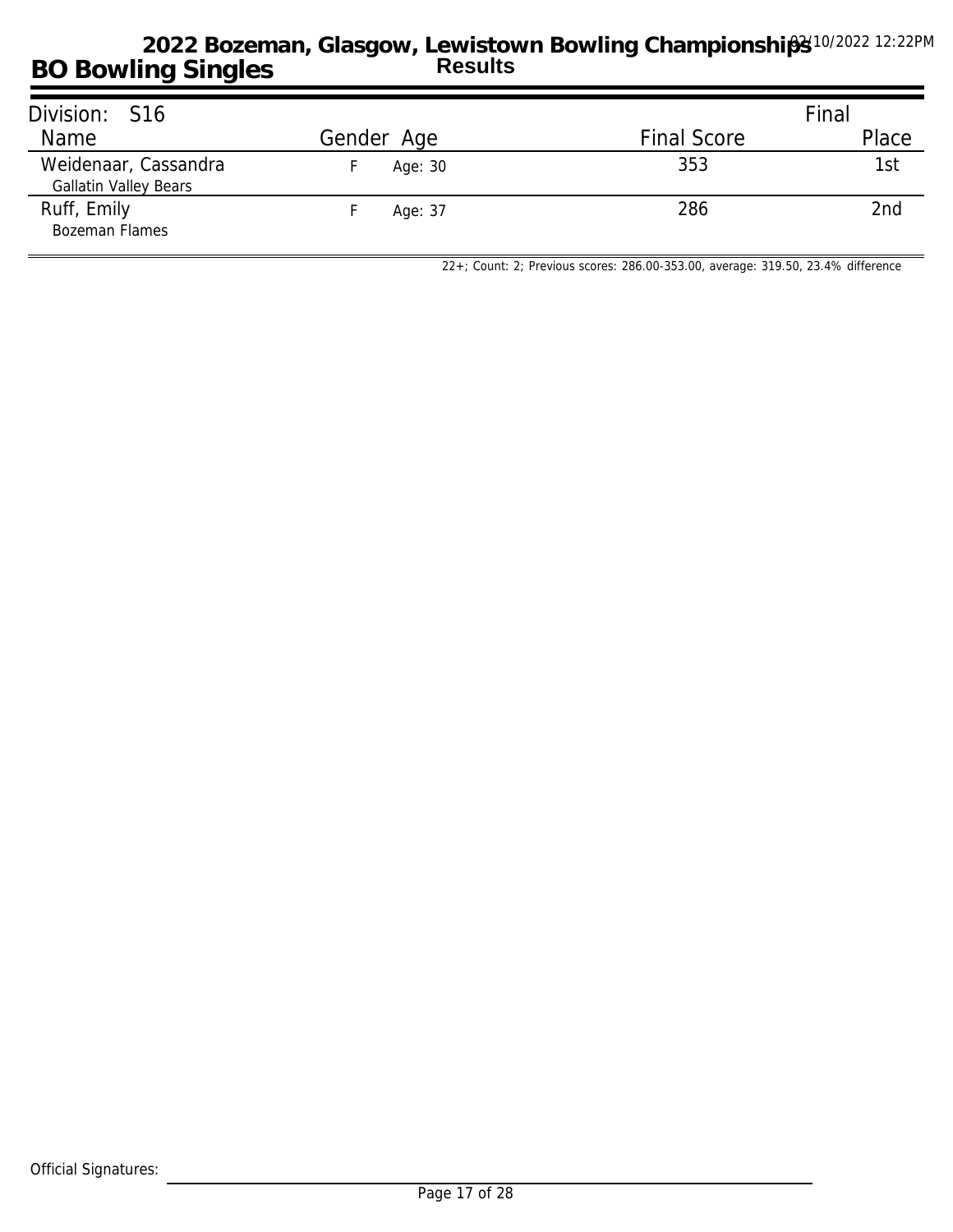| Division: S16                                        |            |                    | Final           |
|------------------------------------------------------|------------|--------------------|-----------------|
| Name                                                 | Gender Age | <b>Final Score</b> | Place           |
| Weidenaar, Cassandra<br><b>Gallatin Valley Bears</b> | Age: 30    | 353                | 1st             |
| Ruff, Emily<br><b>Bozeman Flames</b>                 | Age: 37    | 286                | 2 <sub>nd</sub> |

*22+; Count: 2; Previous scores: 286.00-353.00, average: 319.50, 23.4% difference*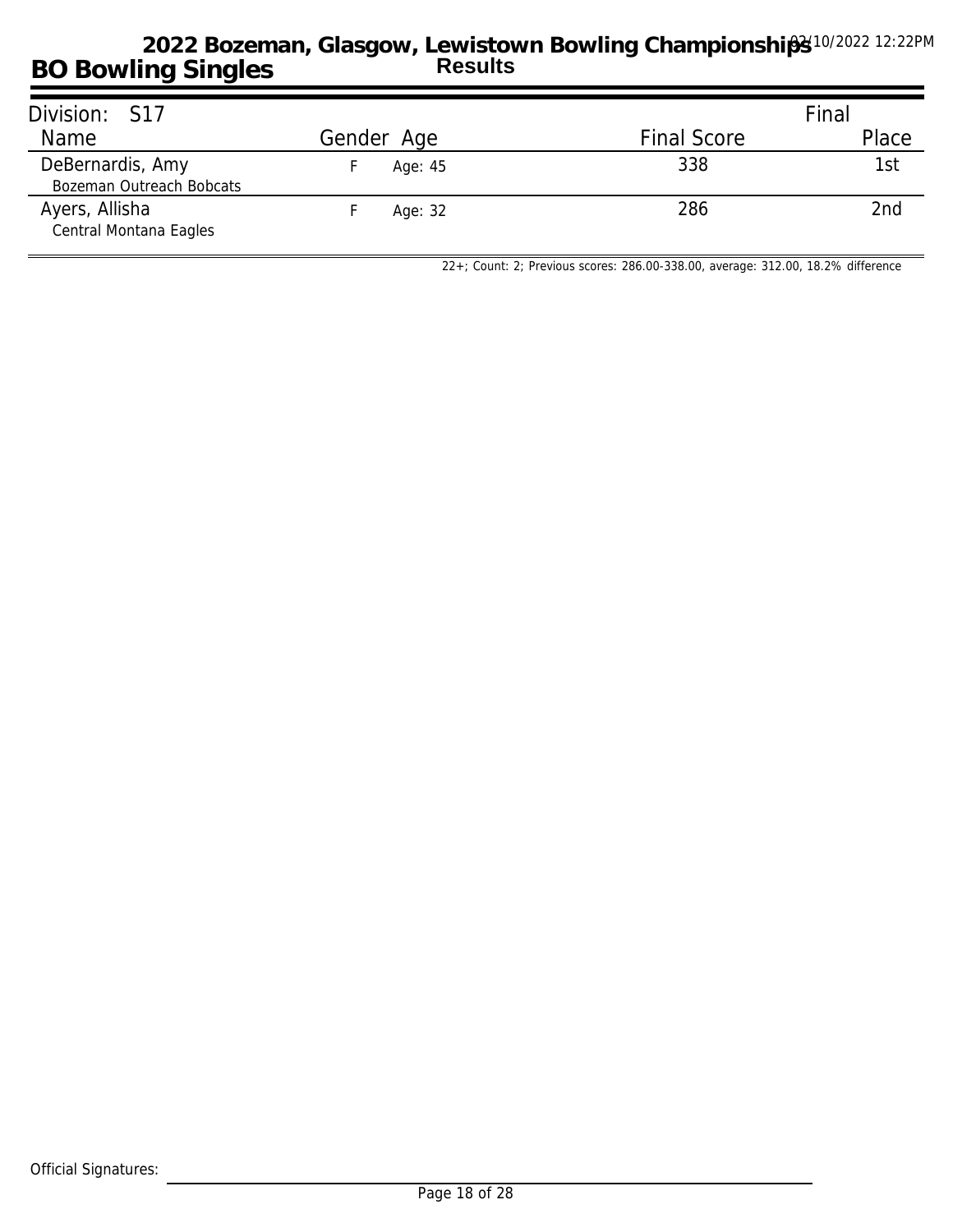| Division: S17                                |            |                    | Final |
|----------------------------------------------|------------|--------------------|-------|
| Name                                         | Gender Age | <b>Final Score</b> | Place |
| DeBernardis, Amy<br>Bozeman Outreach Bobcats | Age: 45    | 338                | 1st   |
| Ayers, Allisha<br>Central Montana Eagles     | Age: 32    | 286                | 2nd   |

*22+; Count: 2; Previous scores: 286.00-338.00, average: 312.00, 18.2% difference*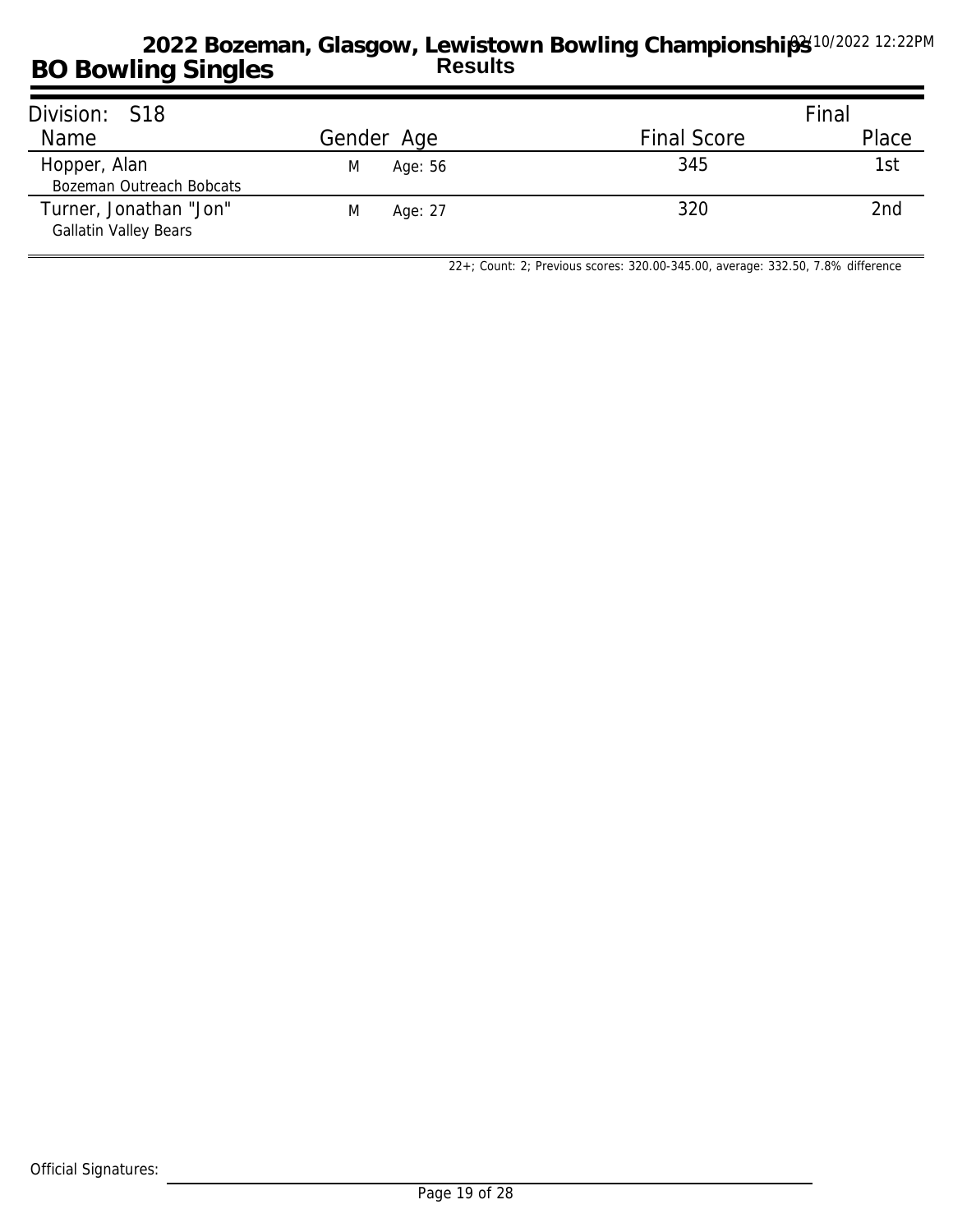| Division: S18                                          |              |                    | Final |
|--------------------------------------------------------|--------------|--------------------|-------|
| Name                                                   | Gender Age   | <b>Final Score</b> | Place |
| Hopper, Alan<br>Bozeman Outreach Bobcats               | Age: 56<br>M | 345                | 1st   |
| Turner, Jonathan "Jon"<br><b>Gallatin Valley Bears</b> | Age: 27<br>M | 320                | 2nd   |

*22+; Count: 2; Previous scores: 320.00-345.00, average: 332.50, 7.8% difference*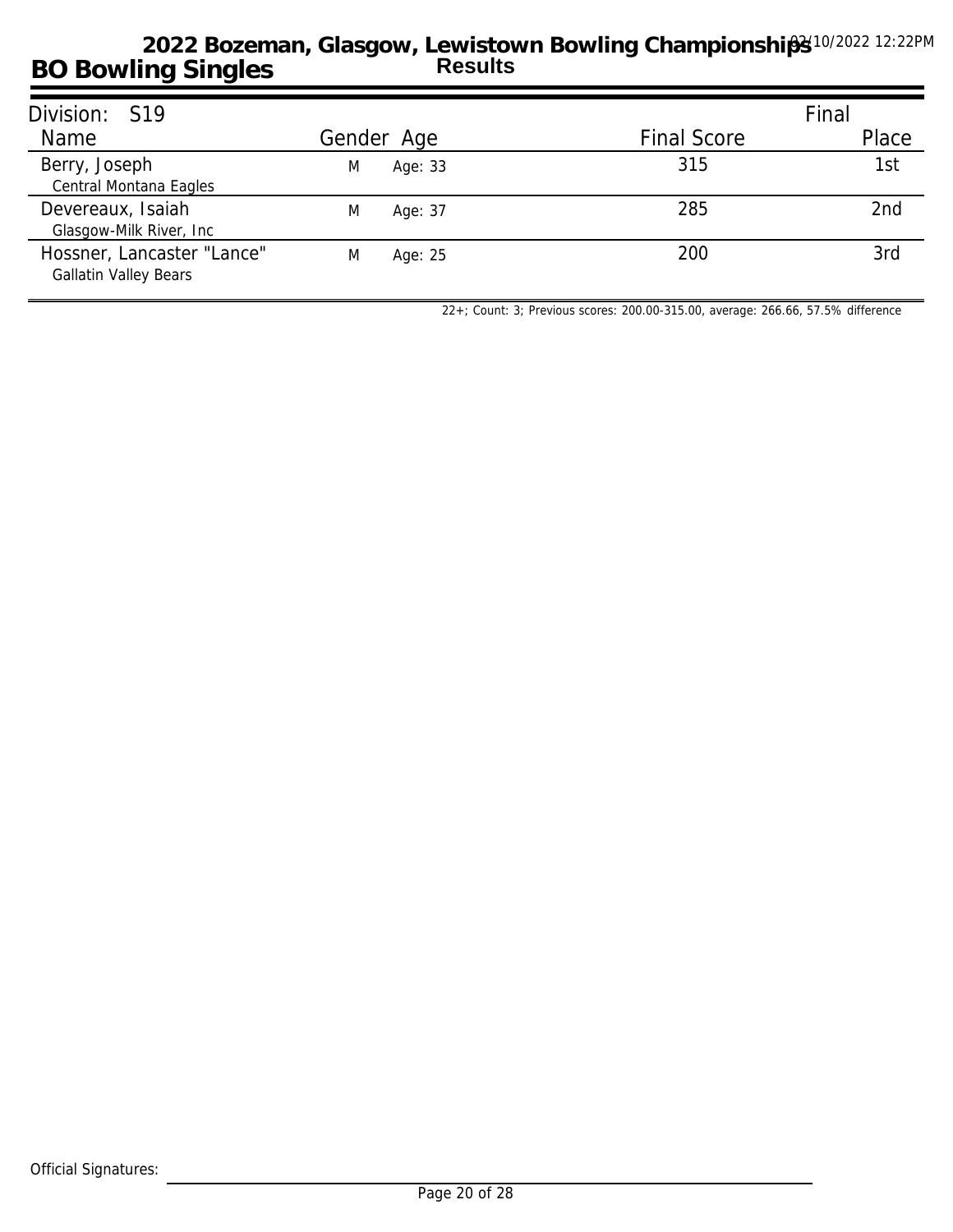| Division: S19                                              |              |                    | Final           |
|------------------------------------------------------------|--------------|--------------------|-----------------|
| Name                                                       | Gender Age   | <b>Final Score</b> | Place           |
| Berry, Joseph<br>Central Montana Eagles                    | Age: 33<br>M | 315                | 1st             |
| Devereaux, Isaiah<br>Glasgow-Milk River, Inc.              | M<br>Age: 37 | 285                | 2 <sub>nd</sub> |
| Hossner, Lancaster "Lance"<br><b>Gallatin Valley Bears</b> | M<br>Age: 25 | 200                | 3rd             |

*22+; Count: 3; Previous scores: 200.00-315.00, average: 266.66, 57.5% difference*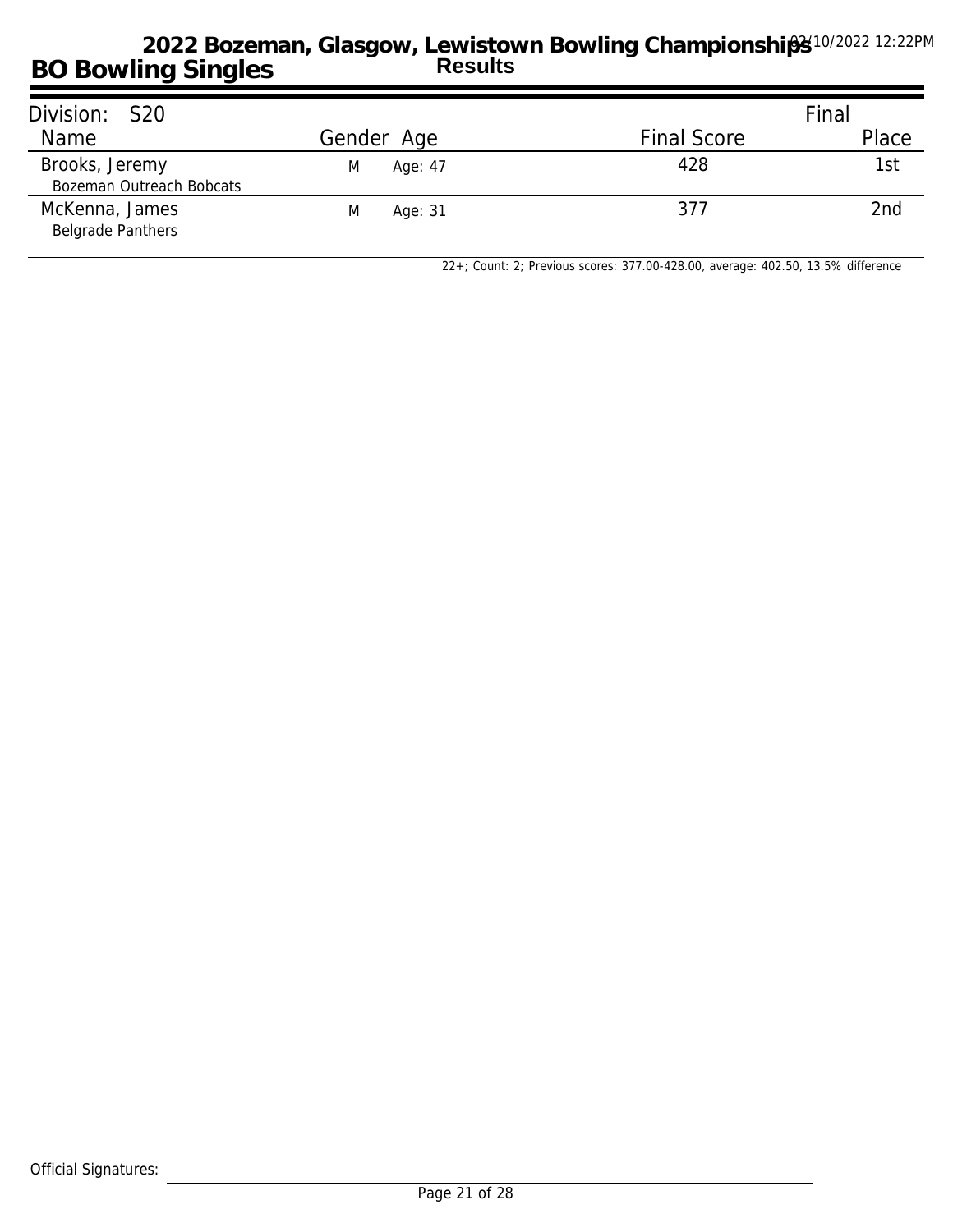| Division: S20                              |              |                    | Final |
|--------------------------------------------|--------------|--------------------|-------|
| Name                                       | Gender Age   | <b>Final Score</b> | Place |
| Brooks, Jeremy<br>Bozeman Outreach Bobcats | Age: 47<br>M | 428                | 1st   |
| McKenna, James<br><b>Belgrade Panthers</b> | Age: 31<br>M | 377                | 2nd   |

*22+; Count: 2; Previous scores: 377.00-428.00, average: 402.50, 13.5% difference*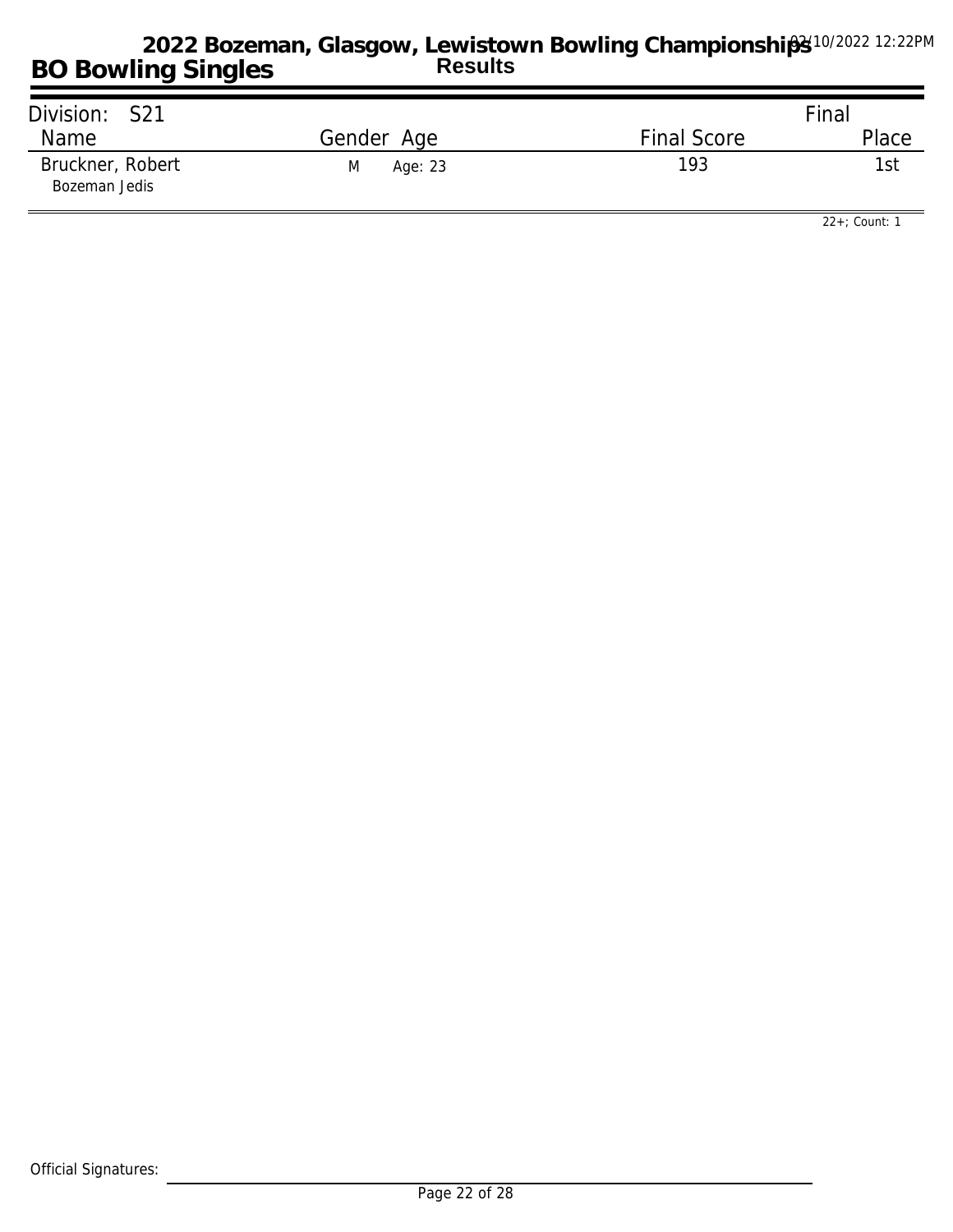| Division: S21                     |              |                    | Final |
|-----------------------------------|--------------|--------------------|-------|
| Name                              | Gender Age   | <b>Final Score</b> | Place |
| Bruckner, Robert<br>Bozeman Jedis | M<br>Age: 23 | 193                | 1st   |

*22+; Count: 1*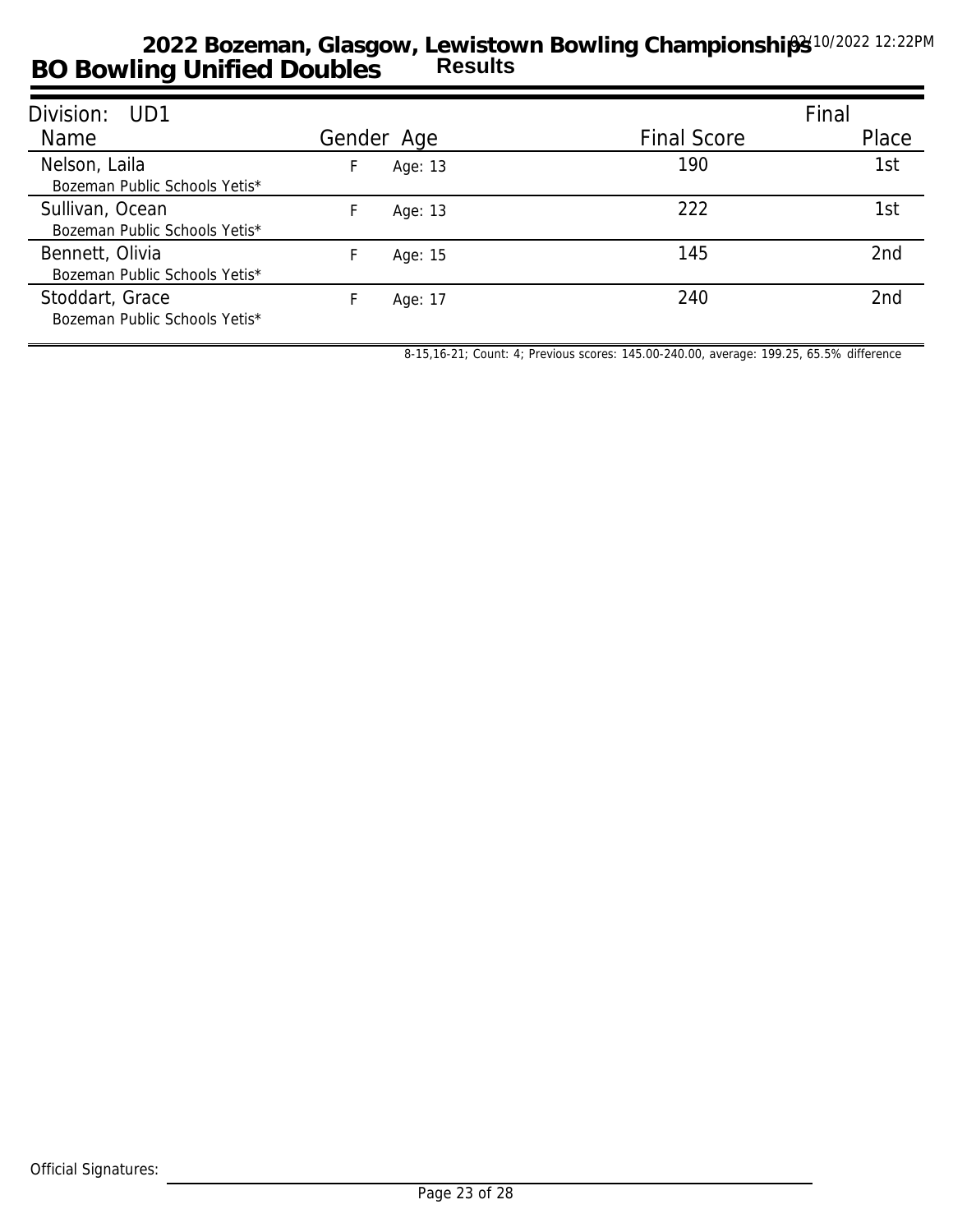| Division: UD1                                    |    |            |                    | Final           |
|--------------------------------------------------|----|------------|--------------------|-----------------|
| Name                                             |    | Gender Age | <b>Final Score</b> | Place           |
| Nelson, Laila<br>Bozeman Public Schools Yetis*   | F. | Age: 13    | 190                | 1st             |
| Sullivan, Ocean<br>Bozeman Public Schools Yetis* |    | Age: 13    | 222                | 1st             |
| Bennett, Olivia<br>Bozeman Public Schools Yetis* |    | Age: 15    | 145                | 2 <sub>nd</sub> |
| Stoddart, Grace<br>Bozeman Public Schools Yetis* |    | Age: 17    | 240                | 2nd             |

*8-15,16-21; Count: 4; Previous scores: 145.00-240.00, average: 199.25, 65.5% difference*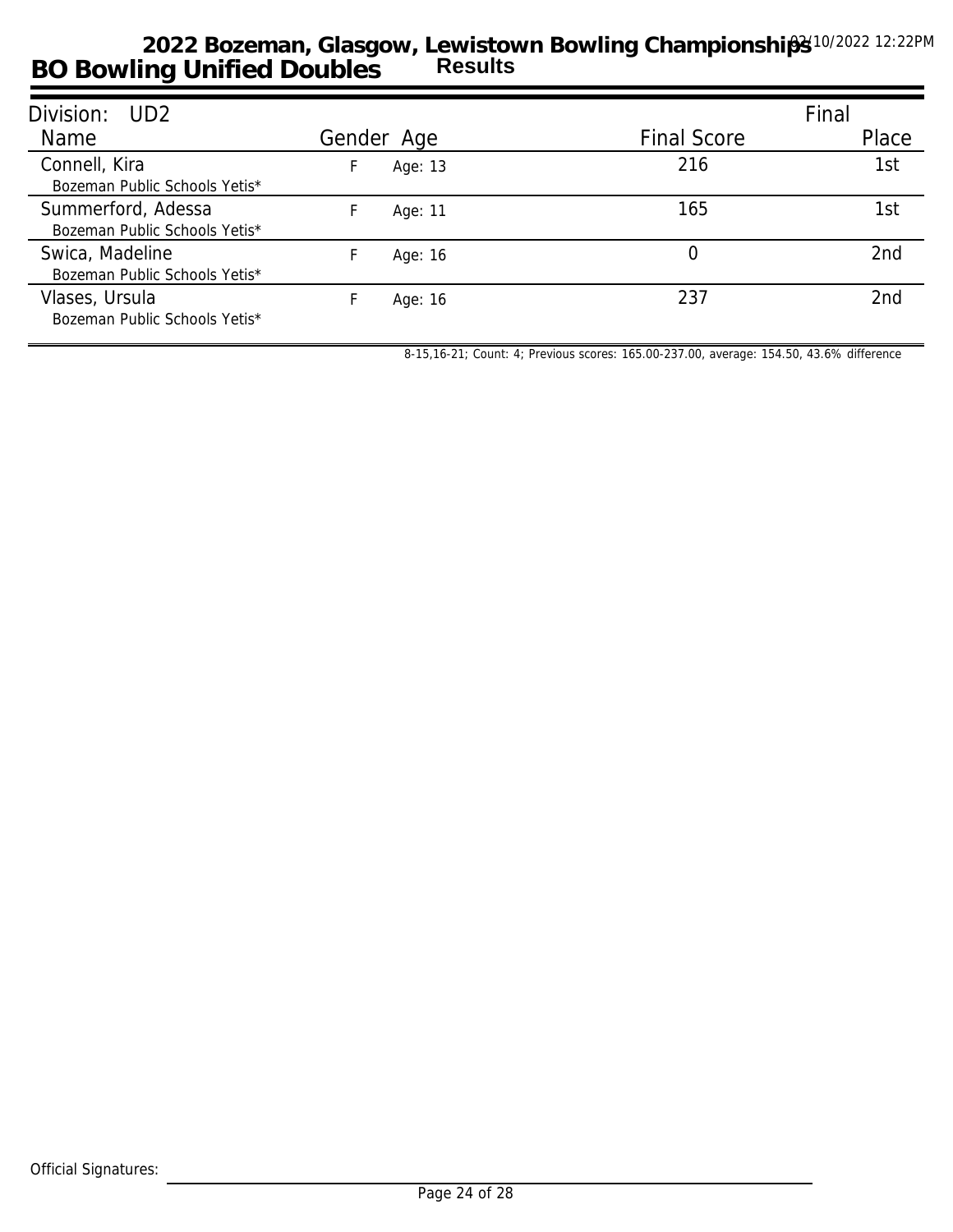| Division: UD2                                       |    |            |                    | Final           |
|-----------------------------------------------------|----|------------|--------------------|-----------------|
| Name                                                |    | Gender Age | <b>Final Score</b> | Place           |
| Connell, Kira<br>Bozeman Public Schools Yetis*      | F. | Age: 13    | 216                | 1st             |
| Summerford, Adessa<br>Bozeman Public Schools Yetis* |    | Age: 11    | 165                | 1st             |
| Swica, Madeline<br>Bozeman Public Schools Yetis*    |    | Age: 16    | $\left( \right)$   | 2nd             |
| Vlases, Ursula<br>Bozeman Public Schools Yetis*     |    | Age: 16    | 237                | 2 <sub>nd</sub> |

*8-15,16-21; Count: 4; Previous scores: 165.00-237.00, average: 154.50, 43.6% difference*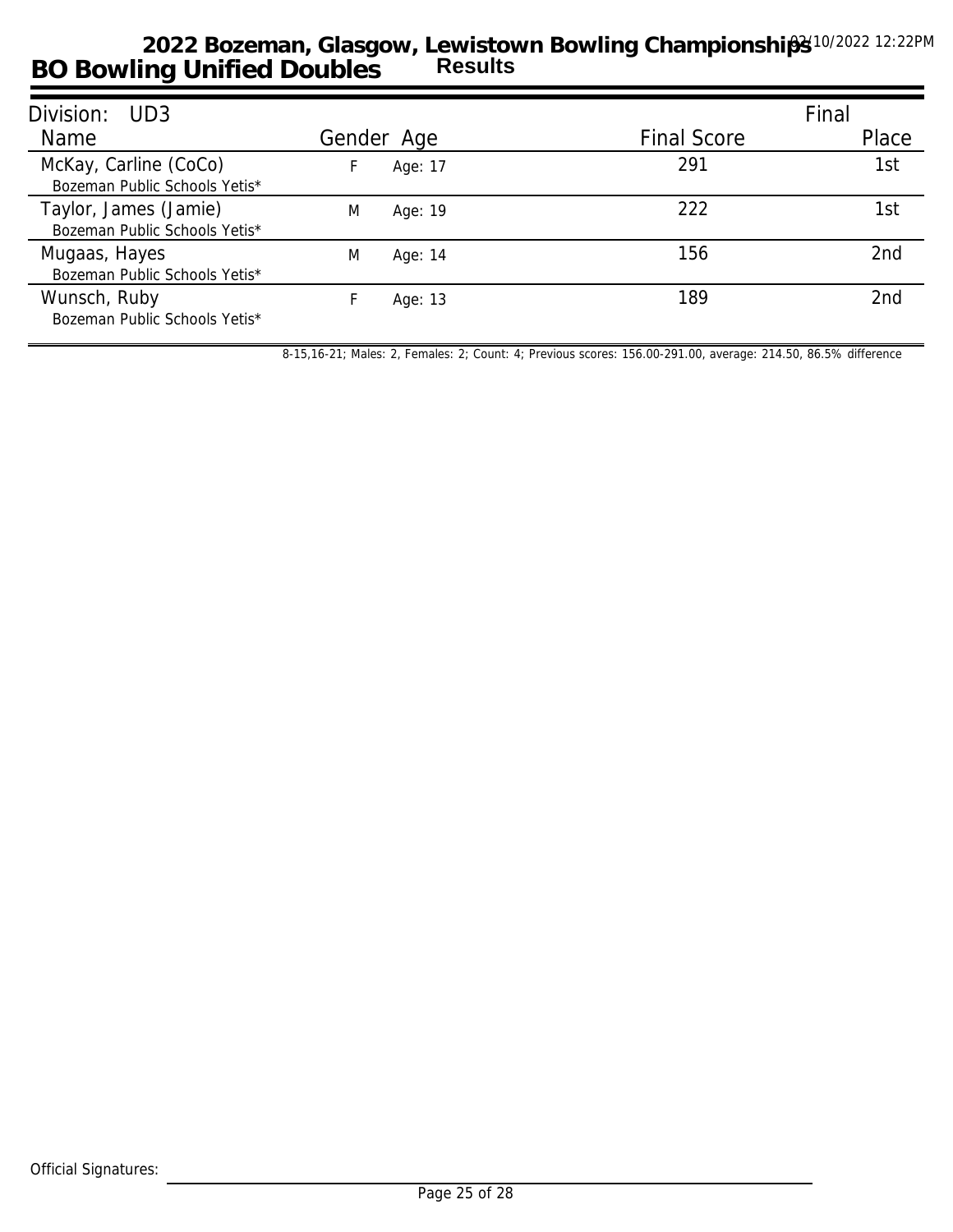| Division:<br>UD3                                       |   |            |                    | Final |
|--------------------------------------------------------|---|------------|--------------------|-------|
| Name                                                   |   | Gender Age | <b>Final Score</b> | Place |
| McKay, Carline (CoCo)<br>Bozeman Public Schools Yetis* |   | Age: 17    | 291                | 1st   |
| Taylor, James (Jamie)<br>Bozeman Public Schools Yetis* | M | Age: 19    | 222                | 1st   |
| Mugaas, Hayes<br>Bozeman Public Schools Yetis*         | M | Age: 14    | 156                | 2nd   |
| Wunsch, Ruby<br>Bozeman Public Schools Yetis*          |   | Age: 13    | 189                | 2nd   |

*8-15,16-21; Males: 2, Females: 2; Count: 4; Previous scores: 156.00-291.00, average: 214.50, 86.5% difference*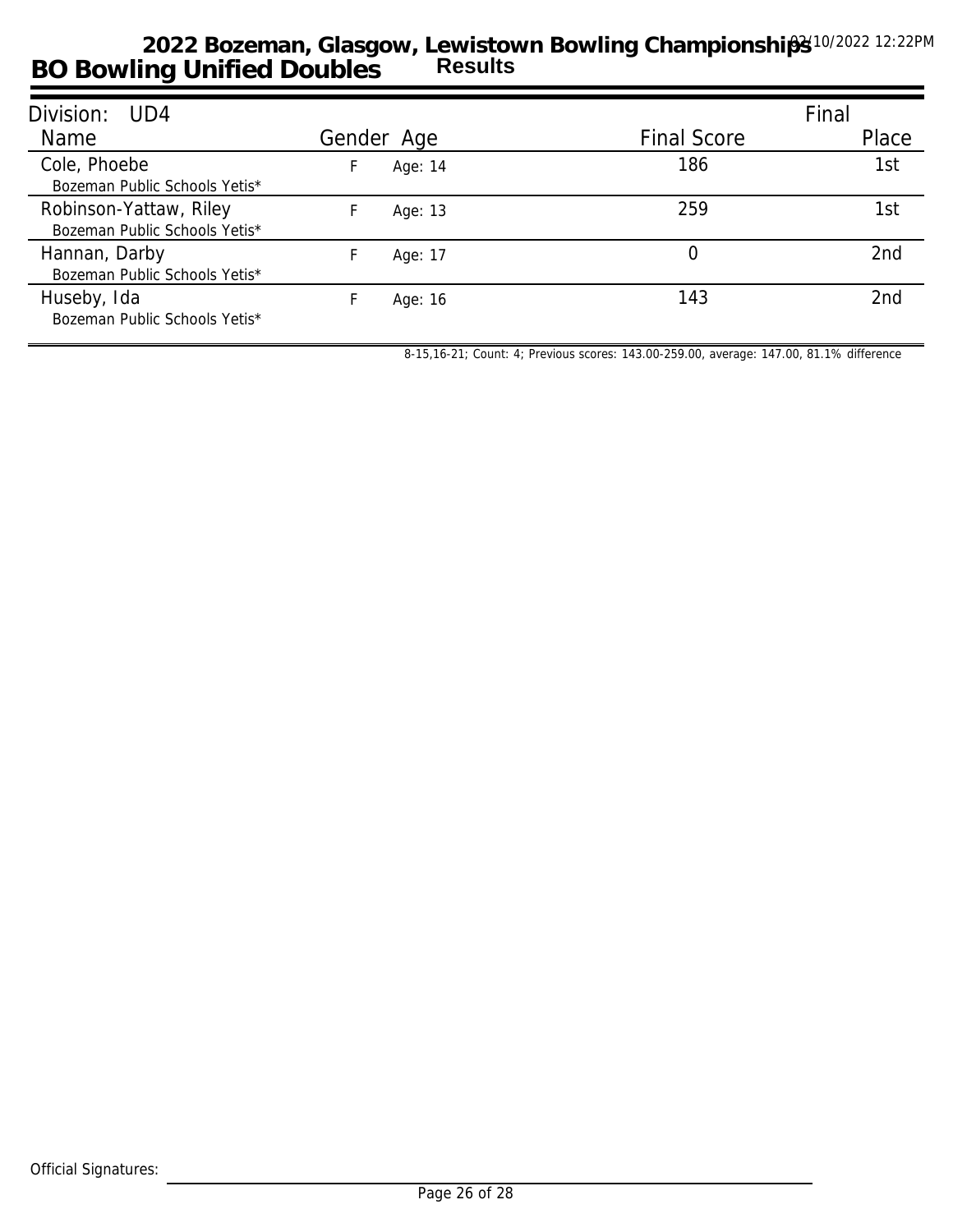| Division: UD4                                           |            |         |                    | Final |
|---------------------------------------------------------|------------|---------|--------------------|-------|
| Name                                                    | Gender Age |         | <b>Final Score</b> | Place |
| Cole, Phoebe<br>Bozeman Public Schools Yetis*           |            | Age: 14 | 186                | 1st   |
| Robinson-Yattaw, Riley<br>Bozeman Public Schools Yetis* |            | Age: 13 | 259                | 1st   |
| Hannan, Darby<br>Bozeman Public Schools Yetis*          |            | Age: 17 | $\Omega$           | 2nd   |
| Huseby, Ida<br>Bozeman Public Schools Yetis*            |            | Age: 16 | 143                | 2nd   |

*8-15,16-21; Count: 4; Previous scores: 143.00-259.00, average: 147.00, 81.1% difference*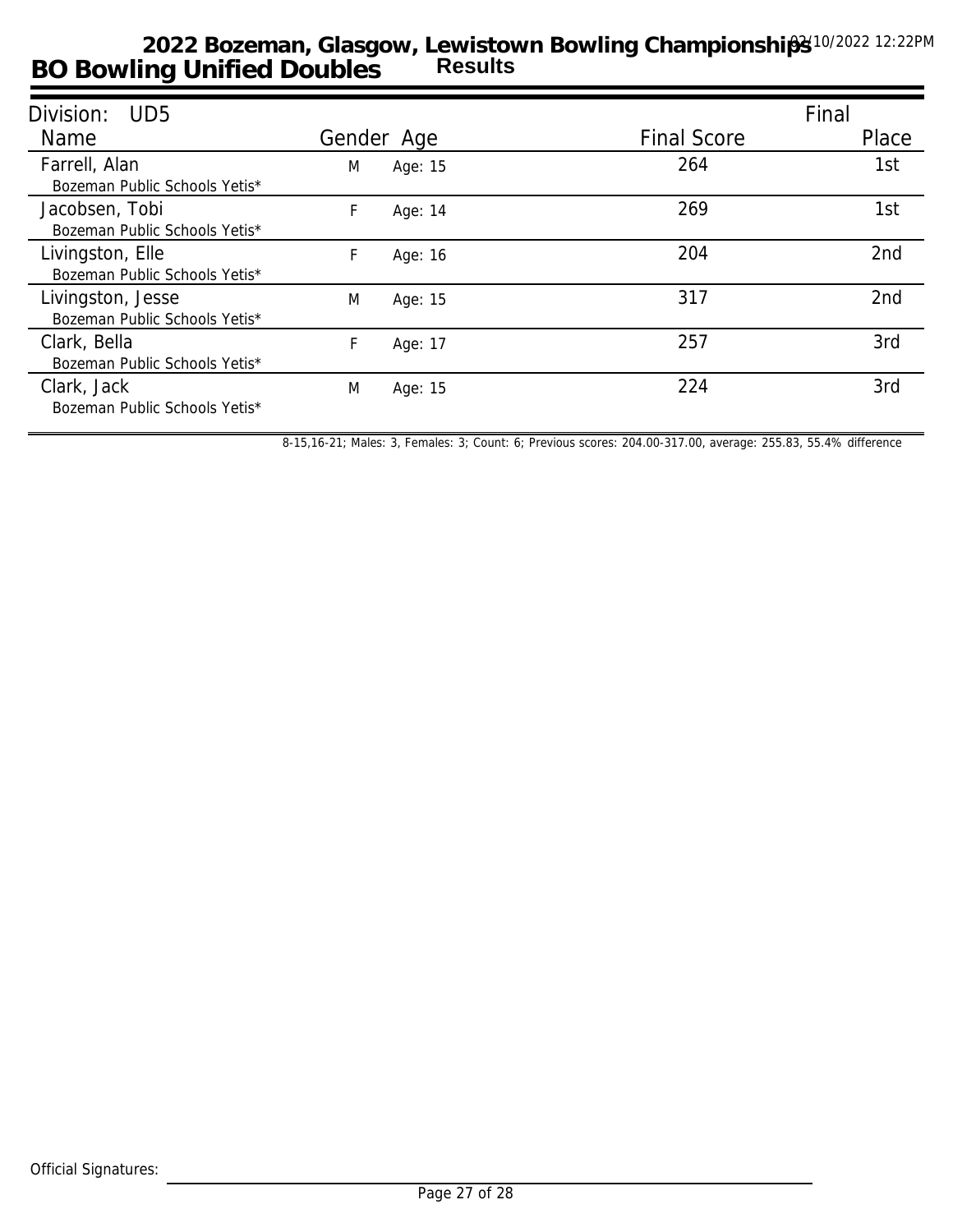| Division:<br>UD5              |   |            |                    | Final |
|-------------------------------|---|------------|--------------------|-------|
| Name                          |   | Gender Age | <b>Final Score</b> | Place |
| Farrell, Alan                 | M | Age: 15    | 264                | 1st   |
| Bozeman Public Schools Yetis* |   |            |                    |       |
| Jacobsen, Tobi                | F | Age: 14    | 269                | 1st   |
| Bozeman Public Schools Yetis* |   |            |                    |       |
| Livingston, Elle              | F | Age: 16    | 204                | 2nd   |
| Bozeman Public Schools Yetis* |   |            |                    |       |
| Livingston, Jesse             | M | Age: 15    | 317                | 2nd   |
| Bozeman Public Schools Yetis* |   |            |                    |       |
| Clark, Bella                  | F | Age: 17    | 257                | 3rd   |
| Bozeman Public Schools Yetis* |   |            |                    |       |
| Clark, Jack                   | M | Age: 15    | 224                | 3rd   |
| Bozeman Public Schools Yetis* |   |            |                    |       |
|                               |   |            |                    |       |

*8-15,16-21; Males: 3, Females: 3; Count: 6; Previous scores: 204.00-317.00, average: 255.83, 55.4% difference*